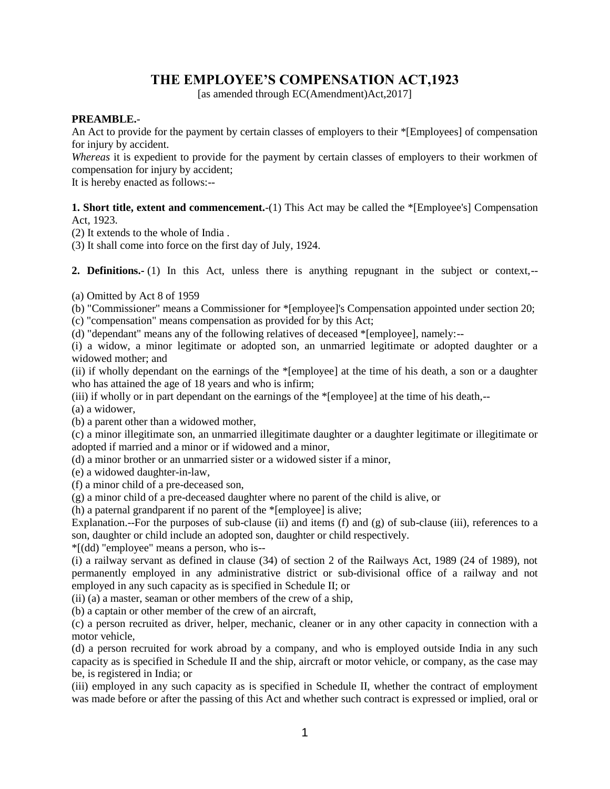# **THE EMPLOYEE'S COMPENSATION ACT,1923**

[as amended through EC(Amendment)Act,2017]

#### **PREAMBLE.**-

An Act to provide for the payment by certain classes of employers to their \*[Employees] of compensation for injury by accident.

*Whereas* it is expedient to provide for the payment by certain classes of employers to their workmen of compensation for injury by accident;

It is hereby enacted as follows:--

**1. Short title, extent and commencement.**-(1) This Act may be called the \*[Employee's] Compensation Act, 1923.

(2) It extends to the whole of India .

(3) It shall come into force on the first day of July, 1924.

**2. Definitions.-** (1) In this Act, unless there is anything repugnant in the subject or context,--

(a) Omitted by Act 8 of 1959

(b) "Commissioner" means a Commissioner for \*[employee]'s Compensation appointed under section 20;

(c) "compensation" means compensation as provided for by this Act;

(d) "dependant" means any of the following relatives of deceased \*[employee], namely:--

(i) a widow, a minor legitimate or adopted son, an unmarried legitimate or adopted daughter or a widowed mother; and

(ii) if wholly dependant on the earnings of the \*[employee] at the time of his death, a son or a daughter who has attained the age of 18 years and who is infirm;

(iii) if wholly or in part dependant on the earnings of the \*[employee] at the time of his death,--

(a) a widower,

(b) a parent other than a widowed mother,

(c) a minor illegitimate son, an unmarried illegitimate daughter or a daughter legitimate or illegitimate or adopted if married and a minor or if widowed and a minor,

(d) a minor brother or an unmarried sister or a widowed sister if a minor,

(e) a widowed daughter-in-law,

(f) a minor child of a pre-deceased son,

(g) a minor child of a pre-deceased daughter where no parent of the child is alive, or

(h) a paternal grandparent if no parent of the \*[employee] is alive;

Explanation.--For the purposes of sub-clause (ii) and items (f) and (g) of sub-clause (iii), references to a son, daughter or child include an adopted son, daughter or child respectively.

\*[(dd) "employee" means a person, who is--

(i) a railway servant as defined in clause (34) of section 2 of the Railways Act, 1989 (24 of 1989), not permanently employed in any administrative district or sub-divisional office of a railway and not employed in any such capacity as is specified in Schedule II; or

(ii) (a) a master, seaman or other members of the crew of a ship,

(b) a captain or other member of the crew of an aircraft,

(c) a person recruited as driver, helper, mechanic, cleaner or in any other capacity in connection with a motor vehicle,

(d) a person recruited for work abroad by a company, and who is employed outside India in any such capacity as is specified in Schedule II and the ship, aircraft or motor vehicle, or company, as the case may be, is registered in India; or

(iii) employed in any such capacity as is specified in Schedule II, whether the contract of employment was made before or after the passing of this Act and whether such contract is expressed or implied, oral or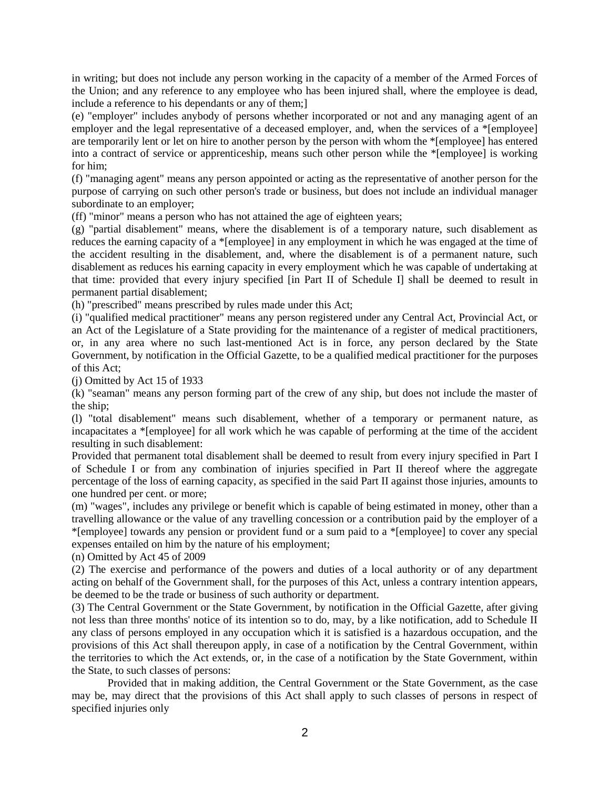in writing; but does not include any person working in the capacity of a member of the Armed Forces of the Union; and any reference to any employee who has been injured shall, where the employee is dead, include a reference to his dependants or any of them;]

(e) "employer" includes anybody of persons whether incorporated or not and any managing agent of an employer and the legal representative of a deceased employer, and, when the services of a \*[employee] are temporarily lent or let on hire to another person by the person with whom the \*[employee] has entered into a contract of service or apprenticeship, means such other person while the \*[employee] is working for him;

(f) "managing agent" means any person appointed or acting as the representative of another person for the purpose of carrying on such other person's trade or business, but does not include an individual manager subordinate to an employer;

(ff) "minor" means a person who has not attained the age of eighteen years;

(g) "partial disablement" means, where the disablement is of a temporary nature, such disablement as reduces the earning capacity of a \*[employee] in any employment in which he was engaged at the time of the accident resulting in the disablement, and, where the disablement is of a permanent nature, such disablement as reduces his earning capacity in every employment which he was capable of undertaking at that time: provided that every injury specified [in Part II of Schedule I] shall be deemed to result in permanent partial disablement;

(h) "prescribed" means prescribed by rules made under this Act;

(i) "qualified medical practitioner" means any person registered under any Central Act, Provincial Act, or an Act of the Legislature of a State providing for the maintenance of a register of medical practitioners, or, in any area where no such last-mentioned Act is in force, any person declared by the State Government, by notification in the Official Gazette, to be a qualified medical practitioner for the purposes of this Act;

(j) Omitted by Act 15 of 1933

(k) "seaman" means any person forming part of the crew of any ship, but does not include the master of the ship;

(l) "total disablement" means such disablement, whether of a temporary or permanent nature, as incapacitates a \*[employee] for all work which he was capable of performing at the time of the accident resulting in such disablement:

Provided that permanent total disablement shall be deemed to result from every injury specified in Part I of Schedule I or from any combination of injuries specified in Part II thereof where the aggregate percentage of the loss of earning capacity, as specified in the said Part II against those injuries, amounts to one hundred per cent. or more;

(m) "wages", includes any privilege or benefit which is capable of being estimated in money, other than a travelling allowance or the value of any travelling concession or a contribution paid by the employer of a \*[employee] towards any pension or provident fund or a sum paid to a \*[employee] to cover any special expenses entailed on him by the nature of his employment;

(n) Omitted by Act 45 of 2009

(2) The exercise and performance of the powers and duties of a local authority or of any department acting on behalf of the Government shall, for the purposes of this Act, unless a contrary intention appears, be deemed to be the trade or business of such authority or department.

(3) The Central Government or the State Government, by notification in the Official Gazette, after giving not less than three months' notice of its intention so to do, may, by a like notification, add to Schedule II any class of persons employed in any occupation which it is satisfied is a hazardous occupation, and the provisions of this Act shall thereupon apply, in case of a notification by the Central Government, within the territories to which the Act extends, or, in the case of a notification by the State Government, within the State, to such classes of persons:

Provided that in making addition, the Central Government or the State Government, as the case may be, may direct that the provisions of this Act shall apply to such classes of persons in respect of specified injuries only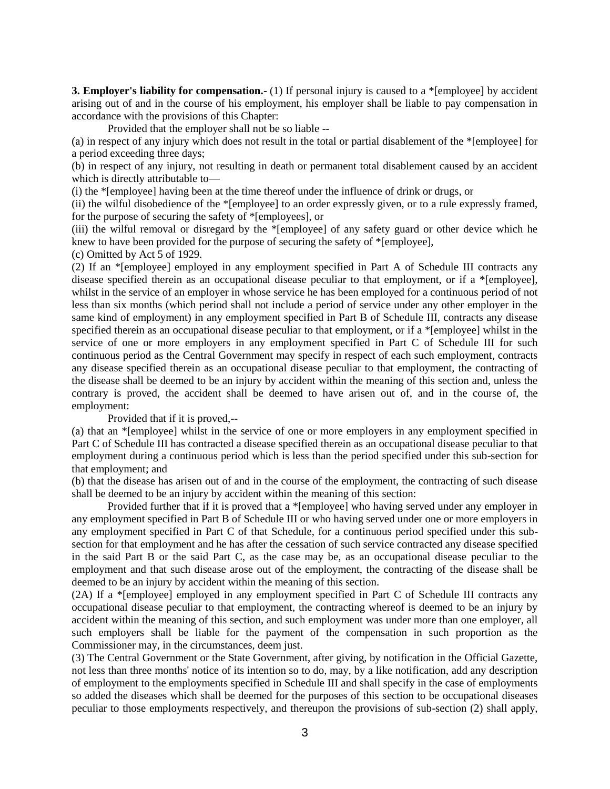**3. Employer's liability for compensation.**- (1) If personal injury is caused to a \*[employee] by accident arising out of and in the course of his employment, his employer shall be liable to pay compensation in accordance with the provisions of this Chapter:

Provided that the employer shall not be so liable --

(a) in respect of any injury which does not result in the total or partial disablement of the \*[employee] for a period exceeding three days;

(b) in respect of any injury, not resulting in death or permanent total disablement caused by an accident which is directly attributable to—

(i) the \*[employee] having been at the time thereof under the influence of drink or drugs, or

(ii) the wilful disobedience of the \*[employee] to an order expressly given, or to a rule expressly framed, for the purpose of securing the safety of \*[employees], or

(iii) the wilful removal or disregard by the \*[employee] of any safety guard or other device which he knew to have been provided for the purpose of securing the safety of \*[employee],

(c) Omitted by Act 5 of 1929.

(2) If an \*[employee] employed in any employment specified in Part A of Schedule III contracts any disease specified therein as an occupational disease peculiar to that employment, or if a \*[employee], whilst in the service of an employer in whose service he has been employed for a continuous period of not less than six months (which period shall not include a period of service under any other employer in the same kind of employment) in any employment specified in Part B of Schedule III, contracts any disease specified therein as an occupational disease peculiar to that employment, or if a \*[employee] whilst in the service of one or more employers in any employment specified in Part C of Schedule III for such continuous period as the Central Government may specify in respect of each such employment, contracts any disease specified therein as an occupational disease peculiar to that employment, the contracting of the disease shall be deemed to be an injury by accident within the meaning of this section and, unless the contrary is proved, the accident shall be deemed to have arisen out of, and in the course of, the employment:

Provided that if it is proved,--

(a) that an \*[employee] whilst in the service of one or more employers in any employment specified in Part C of Schedule III has contracted a disease specified therein as an occupational disease peculiar to that employment during a continuous period which is less than the period specified under this sub-section for that employment; and

(b) that the disease has arisen out of and in the course of the employment, the contracting of such disease shall be deemed to be an injury by accident within the meaning of this section:

Provided further that if it is proved that a \*[employee] who having served under any employer in any employment specified in Part B of Schedule III or who having served under one or more employers in any employment specified in Part C of that Schedule, for a continuous period specified under this subsection for that employment and he has after the cessation of such service contracted any disease specified in the said Part B or the said Part C, as the case may be, as an occupational disease peculiar to the employment and that such disease arose out of the employment, the contracting of the disease shall be deemed to be an injury by accident within the meaning of this section.

(2A) If a \*[employee] employed in any employment specified in Part C of Schedule III contracts any occupational disease peculiar to that employment, the contracting whereof is deemed to be an injury by accident within the meaning of this section, and such employment was under more than one employer, all such employers shall be liable for the payment of the compensation in such proportion as the Commissioner may, in the circumstances, deem just.

(3) The Central Government or the State Government, after giving, by notification in the Official Gazette, not less than three months' notice of its intention so to do, may, by a like notification, add any description of employment to the employments specified in Schedule III and shall specify in the case of employments so added the diseases which shall be deemed for the purposes of this section to be occupational diseases peculiar to those employments respectively, and thereupon the provisions of sub-section (2) shall apply,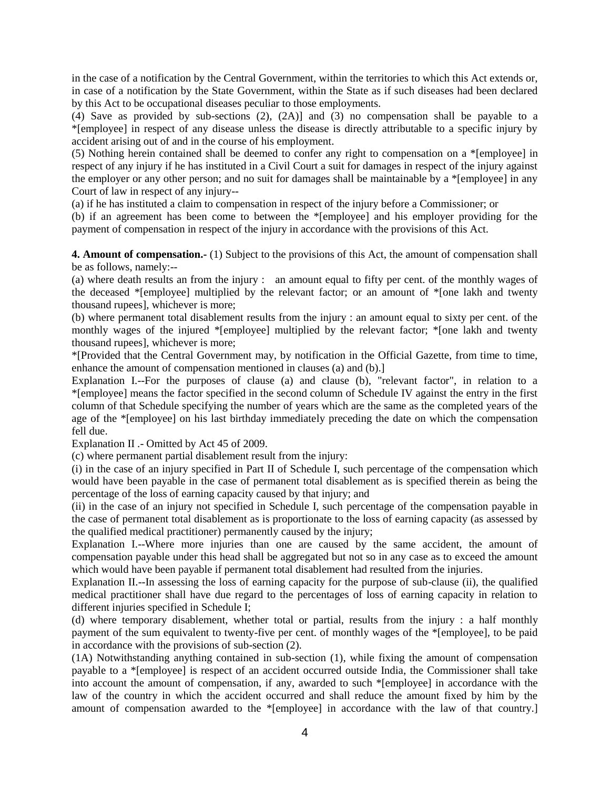in the case of a notification by the Central Government, within the territories to which this Act extends or, in case of a notification by the State Government, within the State as if such diseases had been declared by this Act to be occupational diseases peculiar to those employments.

(4) Save as provided by sub-sections (2), (2A)] and (3) no compensation shall be payable to a \*[employee] in respect of any disease unless the disease is directly attributable to a specific injury by accident arising out of and in the course of his employment.

(5) Nothing herein contained shall be deemed to confer any right to compensation on a \*[employee] in respect of any injury if he has instituted in a Civil Court a suit for damages in respect of the injury against the employer or any other person; and no suit for damages shall be maintainable by a \*[employee] in any Court of law in respect of any injury--

(a) if he has instituted a claim to compensation in respect of the injury before a Commissioner; or

(b) if an agreement has been come to between the \*[employee] and his employer providing for the payment of compensation in respect of the injury in accordance with the provisions of this Act.

**4. Amount of compensation.-** (1) Subject to the provisions of this Act, the amount of compensation shall be as follows, namely:--

(a) where death results an from the injury : an amount equal to fifty per cent. of the monthly wages of the deceased \*[employee] multiplied by the relevant factor; or an amount of \*[one lakh and twenty thousand rupees], whichever is more;

(b) where permanent total disablement results from the injury : an amount equal to sixty per cent. of the monthly wages of the injured \*[employee] multiplied by the relevant factor; \*[one lakh and twenty thousand rupees], whichever is more;

\*[Provided that the Central Government may, by notification in the Official Gazette, from time to time, enhance the amount of compensation mentioned in clauses (a) and (b).]

Explanation I.--For the purposes of clause (a) and clause (b), "relevant factor", in relation to a \*[employee] means the factor specified in the second column of Schedule IV against the entry in the first column of that Schedule specifying the number of years which are the same as the completed years of the age of the \*[employee] on his last birthday immediately preceding the date on which the compensation fell due.

Explanation II .- Omitted by Act 45 of 2009.

(c) where permanent partial disablement result from the injury:

(i) in the case of an injury specified in Part II of Schedule I, such percentage of the compensation which would have been payable in the case of permanent total disablement as is specified therein as being the percentage of the loss of earning capacity caused by that injury; and

(ii) in the case of an injury not specified in Schedule I, such percentage of the compensation payable in the case of permanent total disablement as is proportionate to the loss of earning capacity (as assessed by the qualified medical practitioner) permanently caused by the injury;

Explanation I.--Where more injuries than one are caused by the same accident, the amount of compensation payable under this head shall be aggregated but not so in any case as to exceed the amount which would have been payable if permanent total disablement had resulted from the injuries.

Explanation II.--In assessing the loss of earning capacity for the purpose of sub-clause (ii), the qualified medical practitioner shall have due regard to the percentages of loss of earning capacity in relation to different injuries specified in Schedule I;

(d) where temporary disablement, whether total or partial, results from the injury : a half monthly payment of the sum equivalent to twenty-five per cent. of monthly wages of the \*[employee], to be paid in accordance with the provisions of sub-section (2).

(1A) Notwithstanding anything contained in sub-section (1), while fixing the amount of compensation payable to a \*[employee] is respect of an accident occurred outside India, the Commissioner shall take into account the amount of compensation, if any, awarded to such \*[employee] in accordance with the law of the country in which the accident occurred and shall reduce the amount fixed by him by the amount of compensation awarded to the \*[employee] in accordance with the law of that country.]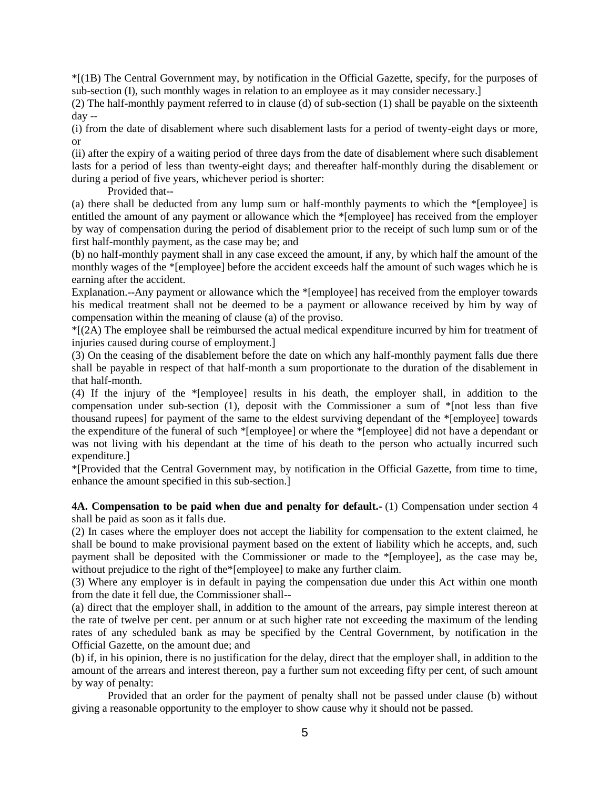\*[(1B) The Central Government may, by notification in the Official Gazette, specify, for the purposes of sub-section (I), such monthly wages in relation to an employee as it may consider necessary.]

(2) The half-monthly payment referred to in clause (d) of sub-section (1) shall be payable on the sixteenth day --

(i) from the date of disablement where such disablement lasts for a period of twenty-eight days or more, or

(ii) after the expiry of a waiting period of three days from the date of disablement where such disablement lasts for a period of less than twenty-eight days; and thereafter half-monthly during the disablement or during a period of five years, whichever period is shorter:

Provided that--

(a) there shall be deducted from any lump sum or half-monthly payments to which the \*[employee] is entitled the amount of any payment or allowance which the \*[employee] has received from the employer by way of compensation during the period of disablement prior to the receipt of such lump sum or of the first half-monthly payment, as the case may be; and

(b) no half-monthly payment shall in any case exceed the amount, if any, by which half the amount of the monthly wages of the \*[employee] before the accident exceeds half the amount of such wages which he is earning after the accident.

Explanation.--Any payment or allowance which the \*[employee] has received from the employer towards his medical treatment shall not be deemed to be a payment or allowance received by him by way of compensation within the meaning of clause (a) of the proviso.

 $*(2A)$  The employee shall be reimbursed the actual medical expenditure incurred by him for treatment of injuries caused during course of employment.]

(3) On the ceasing of the disablement before the date on which any half-monthly payment falls due there shall be payable in respect of that half-month a sum proportionate to the duration of the disablement in that half-month.

(4) If the injury of the \*[employee] results in his death, the employer shall, in addition to the compensation under sub-section (1), deposit with the Commissioner a sum of \*[not less than five thousand rupees] for payment of the same to the eldest surviving dependant of the \*[employee] towards the expenditure of the funeral of such \*[employee] or where the \*[employee] did not have a dependant or was not living with his dependant at the time of his death to the person who actually incurred such expenditure.]

\*[Provided that the Central Government may, by notification in the Official Gazette, from time to time, enhance the amount specified in this sub-section.]

**4A. Compensation to be paid when due and penalty for default.-** (1) Compensation under section 4 shall be paid as soon as it falls due.

(2) In cases where the employer does not accept the liability for compensation to the extent claimed, he shall be bound to make provisional payment based on the extent of liability which he accepts, and, such payment shall be deposited with the Commissioner or made to the \*[employee], as the case may be, without prejudice to the right of the\*[employee] to make any further claim.

(3) Where any employer is in default in paying the compensation due under this Act within one month from the date it fell due, the Commissioner shall--

(a) direct that the employer shall, in addition to the amount of the arrears, pay simple interest thereon at the rate of twelve per cent. per annum or at such higher rate not exceeding the maximum of the lending rates of any scheduled bank as may be specified by the Central Government, by notification in the Official Gazette, on the amount due; and

(b) if, in his opinion, there is no justification for the delay, direct that the employer shall, in addition to the amount of the arrears and interest thereon, pay a further sum not exceeding fifty per cent, of such amount by way of penalty:

Provided that an order for the payment of penalty shall not be passed under clause (b) without giving a reasonable opportunity to the employer to show cause why it should not be passed.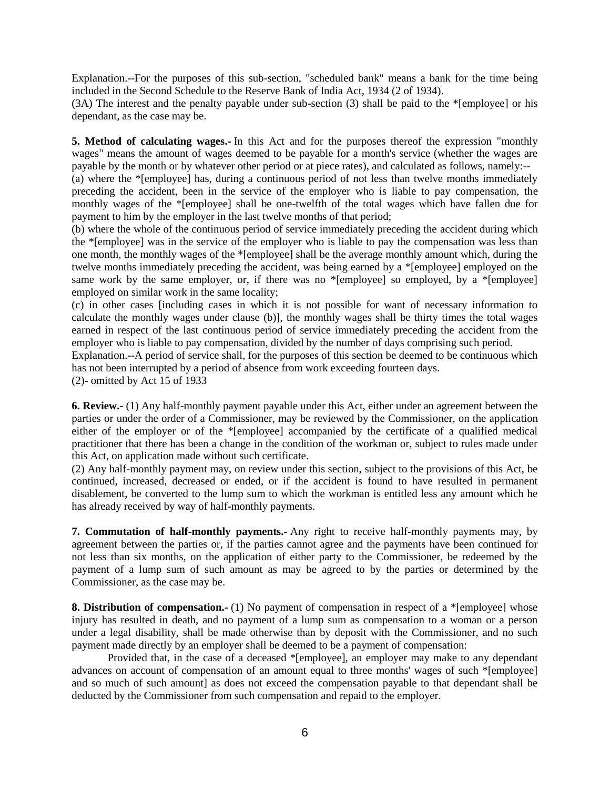Explanation.--For the purposes of this sub-section, "scheduled bank" means a bank for the time being included in the Second Schedule to the Reserve Bank of India Act, 1934 (2 of 1934).

(3A) The interest and the penalty payable under sub-section (3) shall be paid to the \*[employee] or his dependant, as the case may be.

**5. Method of calculating wages.-** In this Act and for the purposes thereof the expression "monthly wages" means the amount of wages deemed to be payable for a month's service (whether the wages are payable by the month or by whatever other period or at piece rates), and calculated as follows, namely:--

(a) where the \*[employee] has, during a continuous period of not less than twelve months immediately preceding the accident, been in the service of the employer who is liable to pay compensation, the monthly wages of the \*[employee] shall be one-twelfth of the total wages which have fallen due for payment to him by the employer in the last twelve months of that period;

(b) where the whole of the continuous period of service immediately preceding the accident during which the \*[employee] was in the service of the employer who is liable to pay the compensation was less than one month, the monthly wages of the \*[employee] shall be the average monthly amount which, during the twelve months immediately preceding the accident, was being earned by a \*[employee] employed on the same work by the same employer, or, if there was no  $*$ [employee] so employed, by a  $*$ [employee] employed on similar work in the same locality;

(c) in other cases [including cases in which it is not possible for want of necessary information to calculate the monthly wages under clause (b)], the monthly wages shall be thirty times the total wages earned in respect of the last continuous period of service immediately preceding the accident from the employer who is liable to pay compensation, divided by the number of days comprising such period.

Explanation.--A period of service shall, for the purposes of this section be deemed to be continuous which has not been interrupted by a period of absence from work exceeding fourteen days.

(2)- omitted by Act 15 of 1933

**6. Review.-** (1) Any half-monthly payment payable under this Act, either under an agreement between the parties or under the order of a Commissioner, may be reviewed by the Commissioner, on the application either of the employer or of the \*[employee] accompanied by the certificate of a qualified medical practitioner that there has been a change in the condition of the workman or, subject to rules made under this Act, on application made without such certificate.

(2) Any half-monthly payment may, on review under this section, subject to the provisions of this Act, be continued, increased, decreased or ended, or if the accident is found to have resulted in permanent disablement, be converted to the lump sum to which the workman is entitled less any amount which he has already received by way of half-monthly payments.

**7. Commutation of half-monthly payments.-** Any right to receive half-monthly payments may, by agreement between the parties or, if the parties cannot agree and the payments have been continued for not less than six months, on the application of either party to the Commissioner, be redeemed by the payment of a lump sum of such amount as may be agreed to by the parties or determined by the Commissioner, as the case may be.

**8. Distribution of compensation.**- (1) No payment of compensation in respect of a \*[employee] whose injury has resulted in death, and no payment of a lump sum as compensation to a woman or a person under a legal disability, shall be made otherwise than by deposit with the Commissioner, and no such payment made directly by an employer shall be deemed to be a payment of compensation:

Provided that, in the case of a deceased \*[employee], an employer may make to any dependant advances on account of compensation of an amount equal to three months' wages of such \*[employee] and so much of such amount] as does not exceed the compensation payable to that dependant shall be deducted by the Commissioner from such compensation and repaid to the employer.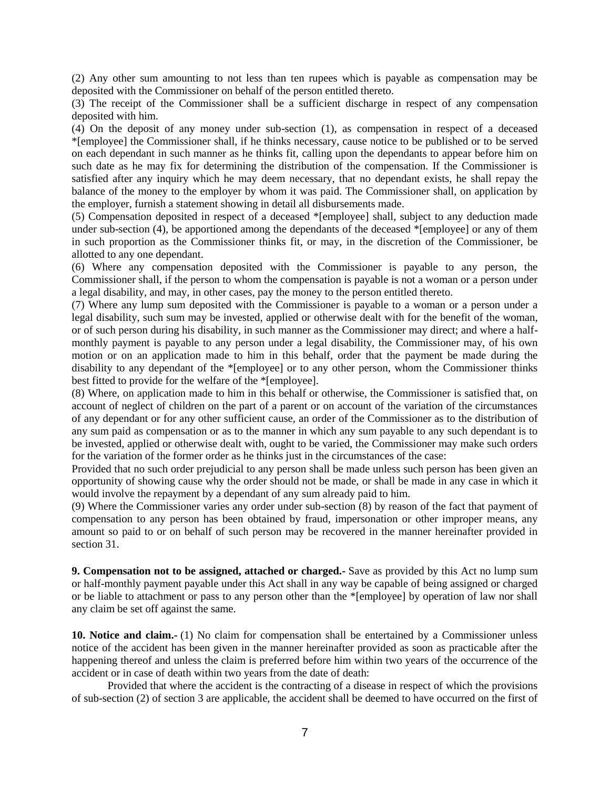(2) Any other sum amounting to not less than ten rupees which is payable as compensation may be deposited with the Commissioner on behalf of the person entitled thereto.

(3) The receipt of the Commissioner shall be a sufficient discharge in respect of any compensation deposited with him.

(4) On the deposit of any money under sub-section (1), as compensation in respect of a deceased \*[employee] the Commissioner shall, if he thinks necessary, cause notice to be published or to be served on each dependant in such manner as he thinks fit, calling upon the dependants to appear before him on such date as he may fix for determining the distribution of the compensation. If the Commissioner is satisfied after any inquiry which he may deem necessary, that no dependant exists, he shall repay the balance of the money to the employer by whom it was paid. The Commissioner shall, on application by the employer, furnish a statement showing in detail all disbursements made.

(5) Compensation deposited in respect of a deceased \*[employee] shall, subject to any deduction made under sub-section (4), be apportioned among the dependants of the deceased \*[employee] or any of them in such proportion as the Commissioner thinks fit, or may, in the discretion of the Commissioner, be allotted to any one dependant.

(6) Where any compensation deposited with the Commissioner is payable to any person, the Commissioner shall, if the person to whom the compensation is payable is not a woman or a person under a legal disability, and may, in other cases, pay the money to the person entitled thereto.

(7) Where any lump sum deposited with the Commissioner is payable to a woman or a person under a legal disability, such sum may be invested, applied or otherwise dealt with for the benefit of the woman, or of such person during his disability, in such manner as the Commissioner may direct; and where a halfmonthly payment is payable to any person under a legal disability, the Commissioner may, of his own motion or on an application made to him in this behalf, order that the payment be made during the disability to any dependant of the \*[employee] or to any other person, whom the Commissioner thinks best fitted to provide for the welfare of the \*[employee].

(8) Where, on application made to him in this behalf or otherwise, the Commissioner is satisfied that, on account of neglect of children on the part of a parent or on account of the variation of the circumstances of any dependant or for any other sufficient cause, an order of the Commissioner as to the distribution of any sum paid as compensation or as to the manner in which any sum payable to any such dependant is to be invested, applied or otherwise dealt with, ought to be varied, the Commissioner may make such orders for the variation of the former order as he thinks just in the circumstances of the case:

Provided that no such order prejudicial to any person shall be made unless such person has been given an opportunity of showing cause why the order should not be made, or shall be made in any case in which it would involve the repayment by a dependant of any sum already paid to him.

(9) Where the Commissioner varies any order under sub-section (8) by reason of the fact that payment of compensation to any person has been obtained by fraud, impersonation or other improper means, any amount so paid to or on behalf of such person may be recovered in the manner hereinafter provided in section 31.

**9. Compensation not to be assigned, attached or charged.-** Save as provided by this Act no lump sum or half-monthly payment payable under this Act shall in any way be capable of being assigned or charged or be liable to attachment or pass to any person other than the \*[employee] by operation of law nor shall any claim be set off against the same.

**10. Notice and claim.-** (1) No claim for compensation shall be entertained by a Commissioner unless notice of the accident has been given in the manner hereinafter provided as soon as practicable after the happening thereof and unless the claim is preferred before him within two years of the occurrence of the accident or in case of death within two years from the date of death:

Provided that where the accident is the contracting of a disease in respect of which the provisions of sub-section (2) of section 3 are applicable, the accident shall be deemed to have occurred on the first of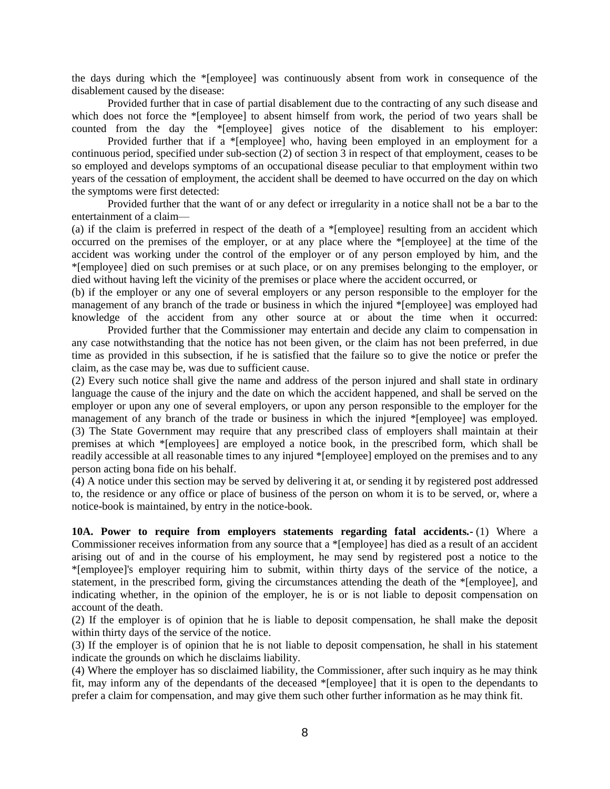the days during which the \*[employee] was continuously absent from work in consequence of the disablement caused by the disease:

Provided further that in case of partial disablement due to the contracting of any such disease and which does not force the \*[employee] to absent himself from work, the period of two years shall be counted from the day the \*[employee] gives notice of the disablement to his employer:

Provided further that if a \*[employee] who, having been employed in an employment for a continuous period, specified under sub-section (2) of section 3 in respect of that employment, ceases to be so employed and develops symptoms of an occupational disease peculiar to that employment within two years of the cessation of employment, the accident shall be deemed to have occurred on the day on which the symptoms were first detected:

Provided further that the want of or any defect or irregularity in a notice shall not be a bar to the entertainment of a claim—

(a) if the claim is preferred in respect of the death of a \*[employee] resulting from an accident which occurred on the premises of the employer, or at any place where the \*[employee] at the time of the accident was working under the control of the employer or of any person employed by him, and the \*[employee] died on such premises or at such place, or on any premises belonging to the employer, or died without having left the vicinity of the premises or place where the accident occurred, or

(b) if the employer or any one of several employers or any person responsible to the employer for the management of any branch of the trade or business in which the injured \*[employee] was employed had knowledge of the accident from any other source at or about the time when it occurred:

Provided further that the Commissioner may entertain and decide any claim to compensation in any case notwithstanding that the notice has not been given, or the claim has not been preferred, in due time as provided in this subsection, if he is satisfied that the failure so to give the notice or prefer the claim, as the case may be, was due to sufficient cause.

(2) Every such notice shall give the name and address of the person injured and shall state in ordinary language the cause of the injury and the date on which the accident happened, and shall be served on the employer or upon any one of several employers, or upon any person responsible to the employer for the management of any branch of the trade or business in which the injured \*[employee] was employed. (3) The State Government may require that any prescribed class of employers shall maintain at their premises at which \*[employees] are employed a notice book, in the prescribed form, which shall be readily accessible at all reasonable times to any injured \*[employee] employed on the premises and to any person acting bona fide on his behalf.

(4) A notice under this section may be served by delivering it at, or sending it by registered post addressed to, the residence or any office or place of business of the person on whom it is to be served, or, where a notice-book is maintained, by entry in the notice-book.

**10A. Power to require from employers statements regarding fatal accidents.-** (1) Where a Commissioner receives information from any source that a \*[employee] has died as a result of an accident arising out of and in the course of his employment, he may send by registered post a notice to the \*[employee]'s employer requiring him to submit, within thirty days of the service of the notice, a statement, in the prescribed form, giving the circumstances attending the death of the \*[employee], and indicating whether, in the opinion of the employer, he is or is not liable to deposit compensation on account of the death.

(2) If the employer is of opinion that he is liable to deposit compensation, he shall make the deposit within thirty days of the service of the notice.

(3) If the employer is of opinion that he is not liable to deposit compensation, he shall in his statement indicate the grounds on which he disclaims liability.

(4) Where the employer has so disclaimed liability, the Commissioner, after such inquiry as he may think fit, may inform any of the dependants of the deceased \*[employee] that it is open to the dependants to prefer a claim for compensation, and may give them such other further information as he may think fit.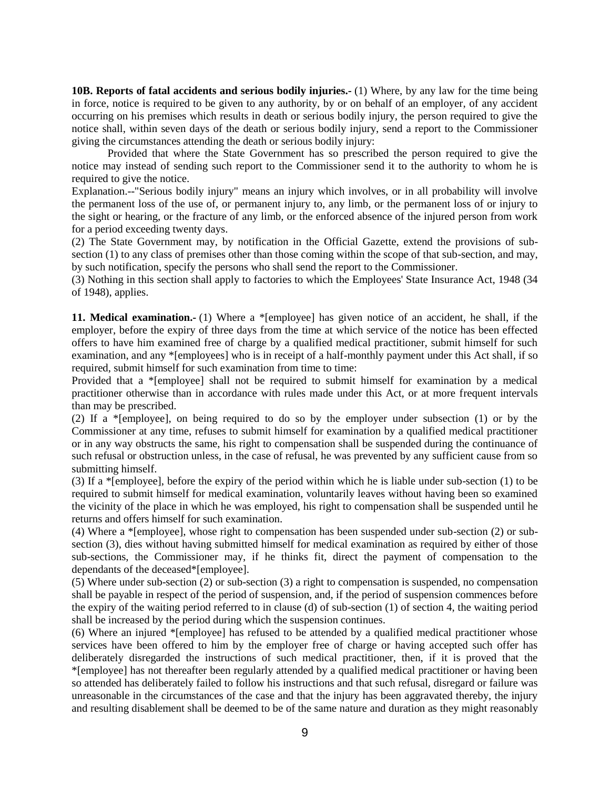**10B. Reports of fatal accidents and serious bodily injuries.-** (1) Where, by any law for the time being in force, notice is required to be given to any authority, by or on behalf of an employer, of any accident occurring on his premises which results in death or serious bodily injury, the person required to give the notice shall, within seven days of the death or serious bodily injury, send a report to the Commissioner giving the circumstances attending the death or serious bodily injury:

Provided that where the State Government has so prescribed the person required to give the notice may instead of sending such report to the Commissioner send it to the authority to whom he is required to give the notice.

Explanation.--"Serious bodily injury" means an injury which involves, or in all probability will involve the permanent loss of the use of, or permanent injury to, any limb, or the permanent loss of or injury to the sight or hearing, or the fracture of any limb, or the enforced absence of the injured person from work for a period exceeding twenty days.

(2) The State Government may, by notification in the Official Gazette, extend the provisions of subsection (1) to any class of premises other than those coming within the scope of that sub-section, and may, by such notification, specify the persons who shall send the report to the Commissioner.

(3) Nothing in this section shall apply to factories to which the Employees' State Insurance Act, 1948 (34 of 1948), applies.

**11. Medical examination.-** (1) Where a \*[employee] has given notice of an accident, he shall, if the employer, before the expiry of three days from the time at which service of the notice has been effected offers to have him examined free of charge by a qualified medical practitioner, submit himself for such examination, and any \*[employees] who is in receipt of a half-monthly payment under this Act shall, if so required, submit himself for such examination from time to time:

Provided that a \*[employee] shall not be required to submit himself for examination by a medical practitioner otherwise than in accordance with rules made under this Act, or at more frequent intervals than may be prescribed.

(2) If a \*[employee], on being required to do so by the employer under subsection (1) or by the Commissioner at any time, refuses to submit himself for examination by a qualified medical practitioner or in any way obstructs the same, his right to compensation shall be suspended during the continuance of such refusal or obstruction unless, in the case of refusal, he was prevented by any sufficient cause from so submitting himself.

(3) If a \*[employee], before the expiry of the period within which he is liable under sub-section (1) to be required to submit himself for medical examination, voluntarily leaves without having been so examined the vicinity of the place in which he was employed, his right to compensation shall be suspended until he returns and offers himself for such examination.

(4) Where a \*[employee], whose right to compensation has been suspended under sub-section (2) or subsection (3), dies without having submitted himself for medical examination as required by either of those sub-sections, the Commissioner may, if he thinks fit, direct the payment of compensation to the dependants of the deceased\*[employee].

(5) Where under sub-section (2) or sub-section (3) a right to compensation is suspended, no compensation shall be payable in respect of the period of suspension, and, if the period of suspension commences before the expiry of the waiting period referred to in clause (d) of sub-section (1) of section 4, the waiting period shall be increased by the period during which the suspension continues.

(6) Where an injured \*[employee] has refused to be attended by a qualified medical practitioner whose services have been offered to him by the employer free of charge or having accepted such offer has deliberately disregarded the instructions of such medical practitioner, then, if it is proved that the \*[employee] has not thereafter been regularly attended by a qualified medical practitioner or having been so attended has deliberately failed to follow his instructions and that such refusal, disregard or failure was unreasonable in the circumstances of the case and that the injury has been aggravated thereby, the injury and resulting disablement shall be deemed to be of the same nature and duration as they might reasonably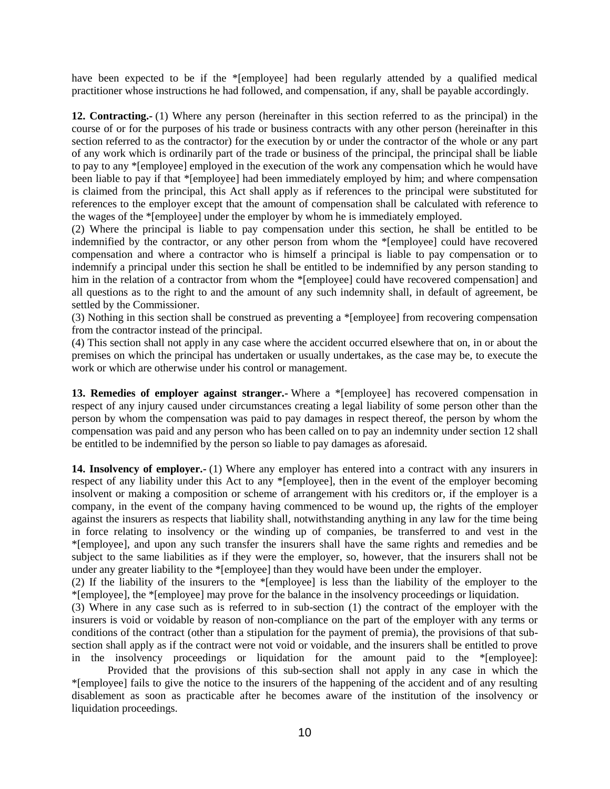have been expected to be if the \*[employee] had been regularly attended by a qualified medical practitioner whose instructions he had followed, and compensation, if any, shall be payable accordingly.

**12. Contracting.-** (1) Where any person (hereinafter in this section referred to as the principal) in the course of or for the purposes of his trade or business contracts with any other person (hereinafter in this section referred to as the contractor) for the execution by or under the contractor of the whole or any part of any work which is ordinarily part of the trade or business of the principal, the principal shall be liable to pay to any \*[employee] employed in the execution of the work any compensation which he would have been liable to pay if that \*[employee] had been immediately employed by him; and where compensation is claimed from the principal, this Act shall apply as if references to the principal were substituted for references to the employer except that the amount of compensation shall be calculated with reference to the wages of the \*[employee] under the employer by whom he is immediately employed.

(2) Where the principal is liable to pay compensation under this section, he shall be entitled to be indemnified by the contractor, or any other person from whom the \*[employee] could have recovered compensation and where a contractor who is himself a principal is liable to pay compensation or to indemnify a principal under this section he shall be entitled to be indemnified by any person standing to him in the relation of a contractor from whom the \*[employee] could have recovered compensation] and all questions as to the right to and the amount of any such indemnity shall, in default of agreement, be settled by the Commissioner.

(3) Nothing in this section shall be construed as preventing a \*[employee] from recovering compensation from the contractor instead of the principal.

(4) This section shall not apply in any case where the accident occurred elsewhere that on, in or about the premises on which the principal has undertaken or usually undertakes, as the case may be, to execute the work or which are otherwise under his control or management.

13. Remedies of employer against stranger.- Where a \*[employee] has recovered compensation in respect of any injury caused under circumstances creating a legal liability of some person other than the person by whom the compensation was paid to pay damages in respect thereof, the person by whom the compensation was paid and any person who has been called on to pay an indemnity under section 12 shall be entitled to be indemnified by the person so liable to pay damages as aforesaid.

**14. Insolvency of employer.-** (1) Where any employer has entered into a contract with any insurers in respect of any liability under this Act to any \*[employee], then in the event of the employer becoming insolvent or making a composition or scheme of arrangement with his creditors or, if the employer is a company, in the event of the company having commenced to be wound up, the rights of the employer against the insurers as respects that liability shall, notwithstanding anything in any law for the time being in force relating to insolvency or the winding up of companies, be transferred to and vest in the \*[employee], and upon any such transfer the insurers shall have the same rights and remedies and be subject to the same liabilities as if they were the employer, so, however, that the insurers shall not be under any greater liability to the \*[employee] than they would have been under the employer.

(2) If the liability of the insurers to the \*[employee] is less than the liability of the employer to the \*[employee], the \*[employee] may prove for the balance in the insolvency proceedings or liquidation.

(3) Where in any case such as is referred to in sub-section (1) the contract of the employer with the insurers is void or voidable by reason of non-compliance on the part of the employer with any terms or conditions of the contract (other than a stipulation for the payment of premia), the provisions of that subsection shall apply as if the contract were not void or voidable, and the insurers shall be entitled to prove in the insolvency proceedings or liquidation for the amount paid to the \*[employee]:

Provided that the provisions of this sub-section shall not apply in any case in which the \*[employee] fails to give the notice to the insurers of the happening of the accident and of any resulting disablement as soon as practicable after he becomes aware of the institution of the insolvency or liquidation proceedings.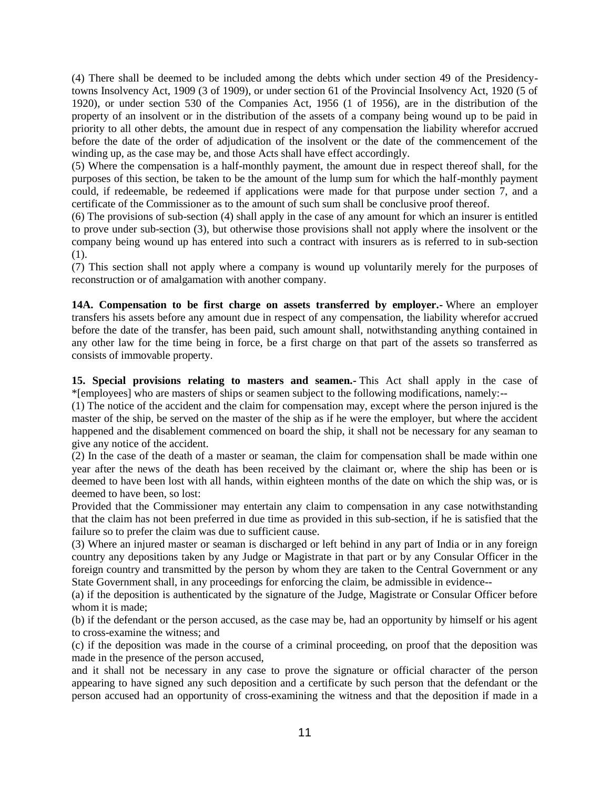(4) There shall be deemed to be included among the debts which under section 49 of the Presidencytowns Insolvency Act, 1909 (3 of 1909), or under section 61 of the Provincial Insolvency Act, 1920 (5 of 1920), or under section 530 of the Companies Act, 1956 (1 of 1956), are in the distribution of the property of an insolvent or in the distribution of the assets of a company being wound up to be paid in priority to all other debts, the amount due in respect of any compensation the liability wherefor accrued before the date of the order of adjudication of the insolvent or the date of the commencement of the winding up, as the case may be, and those Acts shall have effect accordingly.

(5) Where the compensation is a half-monthly payment, the amount due in respect thereof shall, for the purposes of this section, be taken to be the amount of the lump sum for which the half-monthly payment could, if redeemable, be redeemed if applications were made for that purpose under section 7, and a certificate of the Commissioner as to the amount of such sum shall be conclusive proof thereof.

(6) The provisions of sub-section (4) shall apply in the case of any amount for which an insurer is entitled to prove under sub-section (3), but otherwise those provisions shall not apply where the insolvent or the company being wound up has entered into such a contract with insurers as is referred to in sub-section (1).

(7) This section shall not apply where a company is wound up voluntarily merely for the purposes of reconstruction or of amalgamation with another company.

**14A. Compensation to be first charge on assets transferred by employer.-** Where an employer transfers his assets before any amount due in respect of any compensation, the liability wherefor accrued before the date of the transfer, has been paid, such amount shall, notwithstanding anything contained in any other law for the time being in force, be a first charge on that part of the assets so transferred as consists of immovable property.

**15. Special provisions relating to masters and seamen.-** This Act shall apply in the case of \*[employees] who are masters of ships or seamen subject to the following modifications, namely:--

(1) The notice of the accident and the claim for compensation may, except where the person injured is the master of the ship, be served on the master of the ship as if he were the employer, but where the accident happened and the disablement commenced on board the ship, it shall not be necessary for any seaman to give any notice of the accident.

(2) In the case of the death of a master or seaman, the claim for compensation shall be made within one year after the news of the death has been received by the claimant or, where the ship has been or is deemed to have been lost with all hands, within eighteen months of the date on which the ship was, or is deemed to have been, so lost:

Provided that the Commissioner may entertain any claim to compensation in any case notwithstanding that the claim has not been preferred in due time as provided in this sub-section, if he is satisfied that the failure so to prefer the claim was due to sufficient cause.

(3) Where an injured master or seaman is discharged or left behind in any part of India or in any foreign country any depositions taken by any Judge or Magistrate in that part or by any Consular Officer in the foreign country and transmitted by the person by whom they are taken to the Central Government or any State Government shall, in any proceedings for enforcing the claim, be admissible in evidence--

(a) if the deposition is authenticated by the signature of the Judge, Magistrate or Consular Officer before whom it is made;

(b) if the defendant or the person accused, as the case may be, had an opportunity by himself or his agent to cross-examine the witness; and

(c) if the deposition was made in the course of a criminal proceeding, on proof that the deposition was made in the presence of the person accused,

and it shall not be necessary in any case to prove the signature or official character of the person appearing to have signed any such deposition and a certificate by such person that the defendant or the person accused had an opportunity of cross-examining the witness and that the deposition if made in a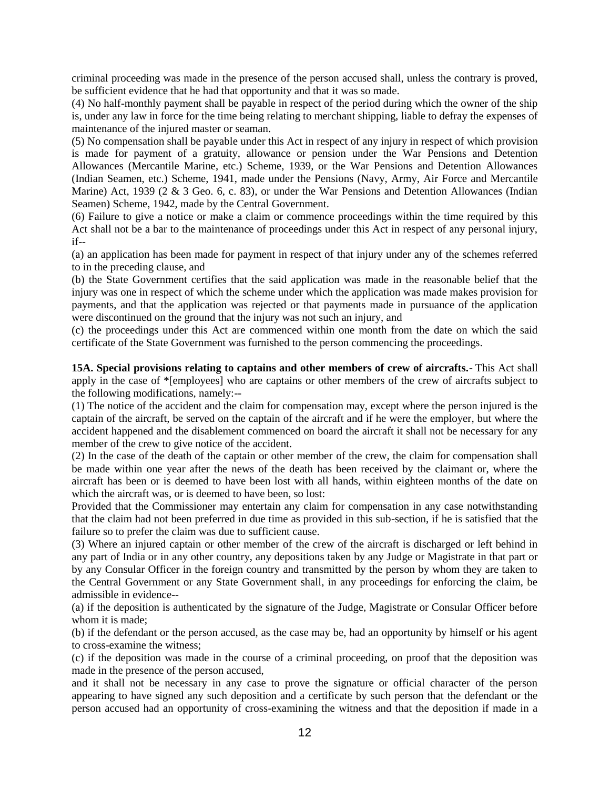criminal proceeding was made in the presence of the person accused shall, unless the contrary is proved, be sufficient evidence that he had that opportunity and that it was so made.

(4) No half-monthly payment shall be payable in respect of the period during which the owner of the ship is, under any law in force for the time being relating to merchant shipping, liable to defray the expenses of maintenance of the injured master or seaman.

(5) No compensation shall be payable under this Act in respect of any injury in respect of which provision is made for payment of a gratuity, allowance or pension under the War Pensions and Detention Allowances (Mercantile Marine, etc.) Scheme, 1939, or the War Pensions and Detention Allowances (Indian Seamen, etc.) Scheme, 1941, made under the Pensions (Navy, Army, Air Force and Mercantile Marine) Act, 1939 (2 & 3 Geo. 6, c. 83), or under the War Pensions and Detention Allowances (Indian Seamen) Scheme, 1942, made by the Central Government.

(6) Failure to give a notice or make a claim or commence proceedings within the time required by this Act shall not be a bar to the maintenance of proceedings under this Act in respect of any personal injury, if--

(a) an application has been made for payment in respect of that injury under any of the schemes referred to in the preceding clause, and

(b) the State Government certifies that the said application was made in the reasonable belief that the injury was one in respect of which the scheme under which the application was made makes provision for payments, and that the application was rejected or that payments made in pursuance of the application were discontinued on the ground that the injury was not such an injury, and

(c) the proceedings under this Act are commenced within one month from the date on which the said certificate of the State Government was furnished to the person commencing the proceedings.

**15A. Special provisions relating to captains and other members of crew of aircrafts.-** This Act shall apply in the case of \*[employees] who are captains or other members of the crew of aircrafts subject to the following modifications, namely:--

(1) The notice of the accident and the claim for compensation may, except where the person injured is the captain of the aircraft, be served on the captain of the aircraft and if he were the employer, but where the accident happened and the disablement commenced on board the aircraft it shall not be necessary for any member of the crew to give notice of the accident.

(2) In the case of the death of the captain or other member of the crew, the claim for compensation shall be made within one year after the news of the death has been received by the claimant or, where the aircraft has been or is deemed to have been lost with all hands, within eighteen months of the date on which the aircraft was, or is deemed to have been, so lost:

Provided that the Commissioner may entertain any claim for compensation in any case notwithstanding that the claim had not been preferred in due time as provided in this sub-section, if he is satisfied that the failure so to prefer the claim was due to sufficient cause.

(3) Where an injured captain or other member of the crew of the aircraft is discharged or left behind in any part of India or in any other country, any depositions taken by any Judge or Magistrate in that part or by any Consular Officer in the foreign country and transmitted by the person by whom they are taken to the Central Government or any State Government shall, in any proceedings for enforcing the claim, be admissible in evidence--

(a) if the deposition is authenticated by the signature of the Judge, Magistrate or Consular Officer before whom it is made;

(b) if the defendant or the person accused, as the case may be, had an opportunity by himself or his agent to cross-examine the witness;

(c) if the deposition was made in the course of a criminal proceeding, on proof that the deposition was made in the presence of the person accused,

and it shall not be necessary in any case to prove the signature or official character of the person appearing to have signed any such deposition and a certificate by such person that the defendant or the person accused had an opportunity of cross-examining the witness and that the deposition if made in a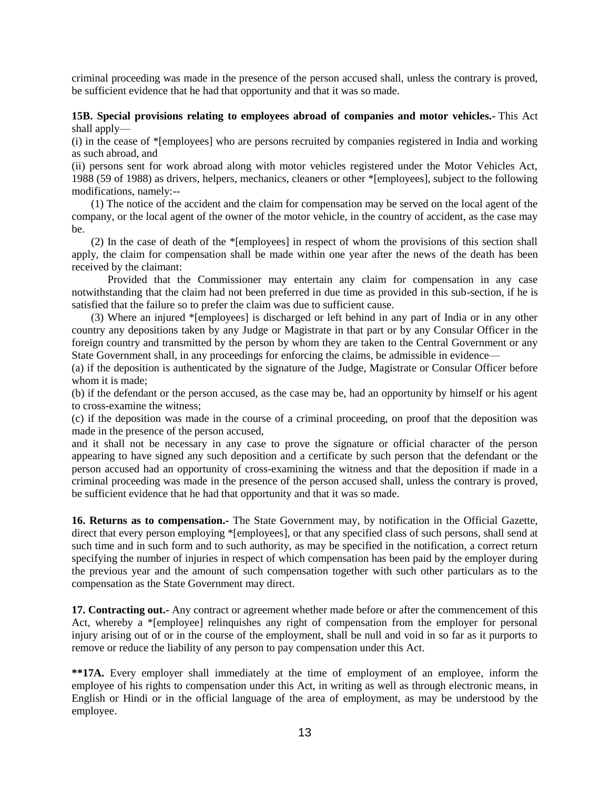criminal proceeding was made in the presence of the person accused shall, unless the contrary is proved, be sufficient evidence that he had that opportunity and that it was so made.

#### **15B. Special provisions relating to employees abroad of companies and motor vehicles.-** This Act shall apply—

(i) in the cease of \*[employees] who are persons recruited by companies registered in India and working as such abroad, and

(ii) persons sent for work abroad along with motor vehicles registered under the Motor Vehicles Act, 1988 (59 of 1988) as drivers, helpers, mechanics, cleaners or other \*[employees], subject to the following modifications, namely:--

 (1) The notice of the accident and the claim for compensation may be served on the local agent of the company, or the local agent of the owner of the motor vehicle, in the country of accident, as the case may be.

 (2) In the case of death of the \*[employees] in respect of whom the provisions of this section shall apply, the claim for compensation shall be made within one year after the news of the death has been received by the claimant:

Provided that the Commissioner may entertain any claim for compensation in any case notwithstanding that the claim had not been preferred in due time as provided in this sub-section, if he is satisfied that the failure so to prefer the claim was due to sufficient cause.

 (3) Where an injured \*[employees] is discharged or left behind in any part of India or in any other country any depositions taken by any Judge or Magistrate in that part or by any Consular Officer in the foreign country and transmitted by the person by whom they are taken to the Central Government or any State Government shall, in any proceedings for enforcing the claims, be admissible in evidence—

(a) if the deposition is authenticated by the signature of the Judge, Magistrate or Consular Officer before whom it is made:

(b) if the defendant or the person accused, as the case may be, had an opportunity by himself or his agent to cross-examine the witness;

(c) if the deposition was made in the course of a criminal proceeding, on proof that the deposition was made in the presence of the person accused,

and it shall not be necessary in any case to prove the signature or official character of the person appearing to have signed any such deposition and a certificate by such person that the defendant or the person accused had an opportunity of cross-examining the witness and that the deposition if made in a criminal proceeding was made in the presence of the person accused shall, unless the contrary is proved, be sufficient evidence that he had that opportunity and that it was so made.

**16. Returns as to compensation.-** The State Government may, by notification in the Official Gazette, direct that every person employing \*[employees], or that any specified class of such persons, shall send at such time and in such form and to such authority, as may be specified in the notification, a correct return specifying the number of injuries in respect of which compensation has been paid by the employer during the previous year and the amount of such compensation together with such other particulars as to the compensation as the State Government may direct.

**17. Contracting out.-** Any contract or agreement whether made before or after the commencement of this Act, whereby a \*[employee] relinquishes any right of compensation from the employer for personal injury arising out of or in the course of the employment, shall be null and void in so far as it purports to remove or reduce the liability of any person to pay compensation under this Act.

**\*\*17A.** Every employer shall immediately at the time of employment of an employee, inform the employee of his rights to compensation under this Act, in writing as well as through electronic means, in English or Hindi or in the official language of the area of employment, as may be understood by the employee.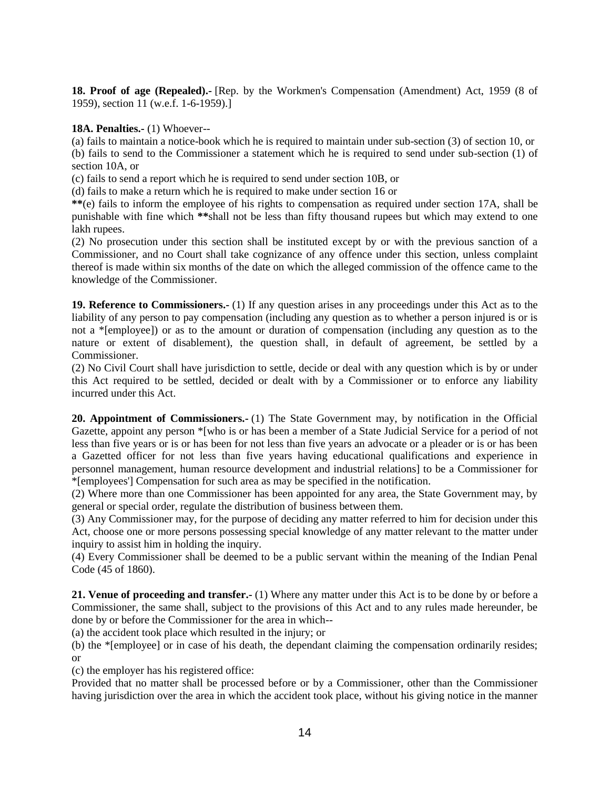**18. Proof of age (Repealed).-** [Rep. by the Workmen's Compensation (Amendment) Act, 1959 (8 of 1959), section 11 (w.e.f. 1-6-1959).]

**18A. Penalties.-** (1) Whoever--

(a) fails to maintain a notice-book which he is required to maintain under sub-section (3) of section 10, or (b) fails to send to the Commissioner a statement which he is required to send under sub-section (1) of section 10A, or

(c) fails to send a report which he is required to send under section 10B, or

(d) fails to make a return which he is required to make under section 16 or

**\*\***(e) fails to inform the employee of his rights to compensation as required under section 17A, shall be punishable with fine which **\*\***shall not be less than fifty thousand rupees but which may extend to one lakh rupees.

(2) No prosecution under this section shall be instituted except by or with the previous sanction of a Commissioner, and no Court shall take cognizance of any offence under this section, unless complaint thereof is made within six months of the date on which the alleged commission of the offence came to the knowledge of the Commissioner.

**19. Reference to Commissioners.-** (1) If any question arises in any proceedings under this Act as to the liability of any person to pay compensation (including any question as to whether a person injured is or is not a \*[employee]) or as to the amount or duration of compensation (including any question as to the nature or extent of disablement), the question shall, in default of agreement, be settled by a Commissioner.

(2) No Civil Court shall have jurisdiction to settle, decide or deal with any question which is by or under this Act required to be settled, decided or dealt with by a Commissioner or to enforce any liability incurred under this Act.

**20. Appointment of Commissioners.-** (1) The State Government may, by notification in the Official Gazette, appoint any person \*[who is or has been a member of a State Judicial Service for a period of not less than five years or is or has been for not less than five years an advocate or a pleader or is or has been a Gazetted officer for not less than five years having educational qualifications and experience in personnel management, human resource development and industrial relations] to be a Commissioner for \*[employees'] Compensation for such area as may be specified in the notification.

(2) Where more than one Commissioner has been appointed for any area, the State Government may, by general or special order, regulate the distribution of business between them.

(3) Any Commissioner may, for the purpose of deciding any matter referred to him for decision under this Act, choose one or more persons possessing special knowledge of any matter relevant to the matter under inquiry to assist him in holding the inquiry.

(4) Every Commissioner shall be deemed to be a public servant within the meaning of the Indian Penal Code (45 of 1860).

**21. Venue of proceeding and transfer.-** (1) Where any matter under this Act is to be done by or before a Commissioner, the same shall, subject to the provisions of this Act and to any rules made hereunder, be done by or before the Commissioner for the area in which--

(a) the accident took place which resulted in the injury; or

(b) the \*[employee] or in case of his death, the dependant claiming the compensation ordinarily resides; or

(c) the employer has his registered office:

Provided that no matter shall be processed before or by a Commissioner, other than the Commissioner having jurisdiction over the area in which the accident took place, without his giving notice in the manner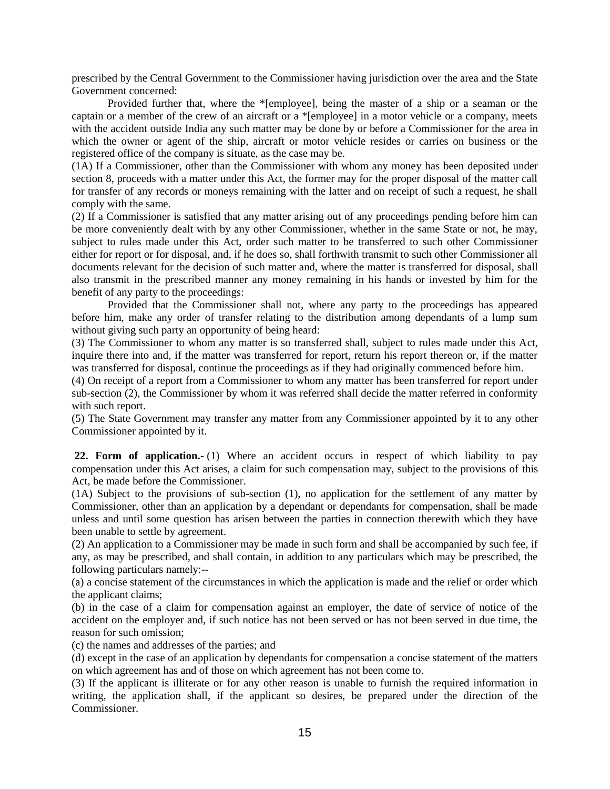prescribed by the Central Government to the Commissioner having jurisdiction over the area and the State Government concerned:

Provided further that, where the \*[employee], being the master of a ship or a seaman or the captain or a member of the crew of an aircraft or a \*[employee] in a motor vehicle or a company, meets with the accident outside India any such matter may be done by or before a Commissioner for the area in which the owner or agent of the ship, aircraft or motor vehicle resides or carries on business or the registered office of the company is situate, as the case may be.

(1A) If a Commissioner, other than the Commissioner with whom any money has been deposited under section 8, proceeds with a matter under this Act, the former may for the proper disposal of the matter call for transfer of any records or moneys remaining with the latter and on receipt of such a request, he shall comply with the same.

(2) If a Commissioner is satisfied that any matter arising out of any proceedings pending before him can be more conveniently dealt with by any other Commissioner, whether in the same State or not, he may, subject to rules made under this Act, order such matter to be transferred to such other Commissioner either for report or for disposal, and, if he does so, shall forthwith transmit to such other Commissioner all documents relevant for the decision of such matter and, where the matter is transferred for disposal, shall also transmit in the prescribed manner any money remaining in his hands or invested by him for the benefit of any party to the proceedings:

Provided that the Commissioner shall not, where any party to the proceedings has appeared before him, make any order of transfer relating to the distribution among dependants of a lump sum without giving such party an opportunity of being heard:

(3) The Commissioner to whom any matter is so transferred shall, subject to rules made under this Act, inquire there into and, if the matter was transferred for report, return his report thereon or, if the matter was transferred for disposal, continue the proceedings as if they had originally commenced before him.

(4) On receipt of a report from a Commissioner to whom any matter has been transferred for report under sub-section (2), the Commissioner by whom it was referred shall decide the matter referred in conformity with such report.

(5) The State Government may transfer any matter from any Commissioner appointed by it to any other Commissioner appointed by it.

**22. Form of application.-** (1) Where an accident occurs in respect of which liability to pay compensation under this Act arises, a claim for such compensation may, subject to the provisions of this Act, be made before the Commissioner.

(1A) Subject to the provisions of sub-section (1), no application for the settlement of any matter by Commissioner, other than an application by a dependant or dependants for compensation, shall be made unless and until some question has arisen between the parties in connection therewith which they have been unable to settle by agreement.

(2) An application to a Commissioner may be made in such form and shall be accompanied by such fee, if any, as may be prescribed, and shall contain, in addition to any particulars which may be prescribed, the following particulars namely:--

(a) a concise statement of the circumstances in which the application is made and the relief or order which the applicant claims;

(b) in the case of a claim for compensation against an employer, the date of service of notice of the accident on the employer and, if such notice has not been served or has not been served in due time, the reason for such omission;

(c) the names and addresses of the parties; and

(d) except in the case of an application by dependants for compensation a concise statement of the matters on which agreement has and of those on which agreement has not been come to.

(3) If the applicant is illiterate or for any other reason is unable to furnish the required information in writing, the application shall, if the applicant so desires, be prepared under the direction of the Commissioner.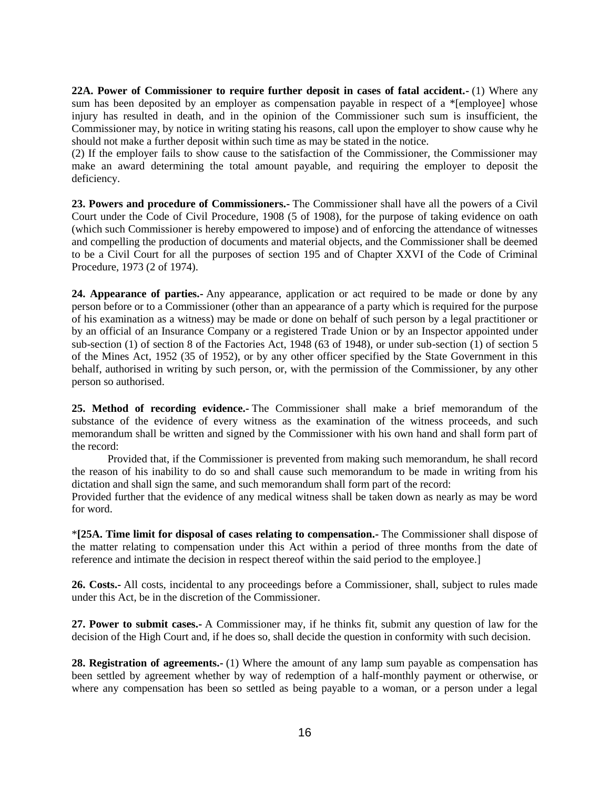**22A. Power of Commissioner to require further deposit in cases of fatal accident.-** (1) Where any sum has been deposited by an employer as compensation payable in respect of a \*[employee] whose injury has resulted in death, and in the opinion of the Commissioner such sum is insufficient, the Commissioner may, by notice in writing stating his reasons, call upon the employer to show cause why he should not make a further deposit within such time as may be stated in the notice.

(2) If the employer fails to show cause to the satisfaction of the Commissioner, the Commissioner may make an award determining the total amount payable, and requiring the employer to deposit the deficiency.

**23. Powers and procedure of Commissioners.-** The Commissioner shall have all the powers of a Civil Court under the Code of Civil Procedure, 1908 (5 of 1908), for the purpose of taking evidence on oath (which such Commissioner is hereby empowered to impose) and of enforcing the attendance of witnesses and compelling the production of documents and material objects, and the Commissioner shall be deemed to be a Civil Court for all the purposes of section 195 and of Chapter XXVI of the Code of Criminal Procedure, 1973 (2 of 1974).

**24. Appearance of parties.-** Any appearance, application or act required to be made or done by any person before or to a Commissioner (other than an appearance of a party which is required for the purpose of his examination as a witness) may be made or done on behalf of such person by a legal practitioner or by an official of an Insurance Company or a registered Trade Union or by an Inspector appointed under sub-section (1) of section 8 of the Factories Act, 1948 (63 of 1948), or under sub-section (1) of section 5 of the Mines Act, 1952 (35 of 1952), or by any other officer specified by the State Government in this behalf, authorised in writing by such person, or, with the permission of the Commissioner, by any other person so authorised.

**25. Method of recording evidence.-** The Commissioner shall make a brief memorandum of the substance of the evidence of every witness as the examination of the witness proceeds, and such memorandum shall be written and signed by the Commissioner with his own hand and shall form part of the record:

Provided that, if the Commissioner is prevented from making such memorandum, he shall record the reason of his inability to do so and shall cause such memorandum to be made in writing from his dictation and shall sign the same, and such memorandum shall form part of the record:

Provided further that the evidence of any medical witness shall be taken down as nearly as may be word for word.

\***[25A. Time limit for disposal of cases relating to compensation.-** The Commissioner shall dispose of the matter relating to compensation under this Act within a period of three months from the date of reference and intimate the decision in respect thereof within the said period to the employee.]

**26. Costs.-** All costs, incidental to any proceedings before a Commissioner, shall, subject to rules made under this Act, be in the discretion of the Commissioner.

**27. Power to submit cases.-** A Commissioner may, if he thinks fit, submit any question of law for the decision of the High Court and, if he does so, shall decide the question in conformity with such decision.

**28. Registration of agreements.-** (1) Where the amount of any lamp sum payable as compensation has been settled by agreement whether by way of redemption of a half-monthly payment or otherwise, or where any compensation has been so settled as being payable to a woman, or a person under a legal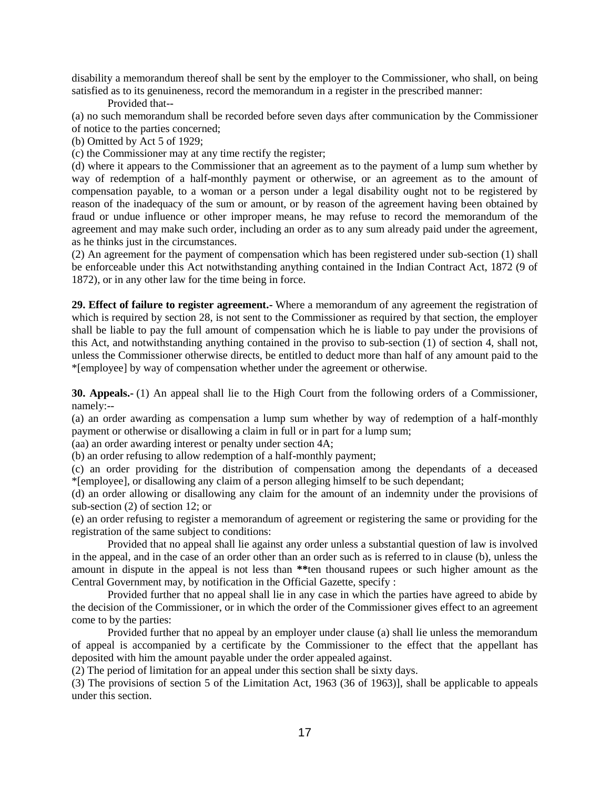disability a memorandum thereof shall be sent by the employer to the Commissioner, who shall, on being satisfied as to its genuineness, record the memorandum in a register in the prescribed manner:

Provided that--

(a) no such memorandum shall be recorded before seven days after communication by the Commissioner of notice to the parties concerned;

(b) Omitted by Act 5 of 1929;

(c) the Commissioner may at any time rectify the register;

(d) where it appears to the Commissioner that an agreement as to the payment of a lump sum whether by way of redemption of a half-monthly payment or otherwise, or an agreement as to the amount of compensation payable, to a woman or a person under a legal disability ought not to be registered by reason of the inadequacy of the sum or amount, or by reason of the agreement having been obtained by fraud or undue influence or other improper means, he may refuse to record the memorandum of the agreement and may make such order, including an order as to any sum already paid under the agreement, as he thinks just in the circumstances.

(2) An agreement for the payment of compensation which has been registered under sub-section (1) shall be enforceable under this Act notwithstanding anything contained in the Indian Contract Act, 1872 (9 of 1872), or in any other law for the time being in force.

**29. Effect of failure to register agreement.-** Where a memorandum of any agreement the registration of which is required by section 28, is not sent to the Commissioner as required by that section, the employer shall be liable to pay the full amount of compensation which he is liable to pay under the provisions of this Act, and notwithstanding anything contained in the proviso to sub-section (1) of section 4, shall not, unless the Commissioner otherwise directs, be entitled to deduct more than half of any amount paid to the \*[employee] by way of compensation whether under the agreement or otherwise.

**30. Appeals.-** (1) An appeal shall lie to the High Court from the following orders of a Commissioner, namely:--

(a) an order awarding as compensation a lump sum whether by way of redemption of a half-monthly payment or otherwise or disallowing a claim in full or in part for a lump sum;

(aa) an order awarding interest or penalty under section 4A;

(b) an order refusing to allow redemption of a half-monthly payment;

(c) an order providing for the distribution of compensation among the dependants of a deceased \*[employee], or disallowing any claim of a person alleging himself to be such dependant;

(d) an order allowing or disallowing any claim for the amount of an indemnity under the provisions of sub-section (2) of section 12; or

(e) an order refusing to register a memorandum of agreement or registering the same or providing for the registration of the same subject to conditions:

Provided that no appeal shall lie against any order unless a substantial question of law is involved in the appeal, and in the case of an order other than an order such as is referred to in clause (b), unless the amount in dispute in the appeal is not less than **\*\***ten thousand rupees or such higher amount as the Central Government may, by notification in the Official Gazette, specify :

Provided further that no appeal shall lie in any case in which the parties have agreed to abide by the decision of the Commissioner, or in which the order of the Commissioner gives effect to an agreement come to by the parties:

Provided further that no appeal by an employer under clause (a) shall lie unless the memorandum of appeal is accompanied by a certificate by the Commissioner to the effect that the appellant has deposited with him the amount payable under the order appealed against.

(2) The period of limitation for an appeal under this section shall be sixty days.

(3) The provisions of section 5 of the Limitation Act, 1963 (36 of 1963)], shall be applicable to appeals under this section.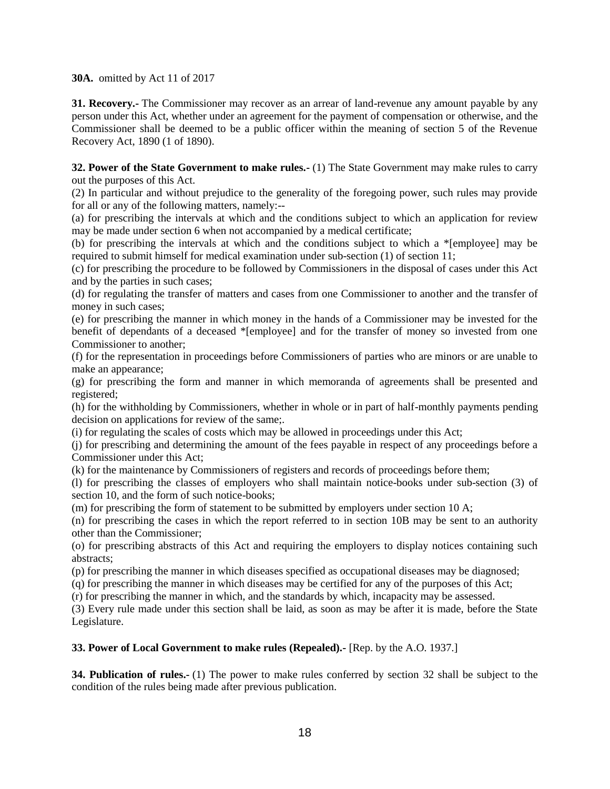**30A.** omitted by Act 11 of 2017

**31. Recovery.-** The Commissioner may recover as an arrear of land-revenue any amount payable by any person under this Act, whether under an agreement for the payment of compensation or otherwise, and the Commissioner shall be deemed to be a public officer within the meaning of section 5 of the Revenue Recovery Act, 1890 (1 of 1890).

**32. Power of the State Government to make rules.-** (1) The State Government may make rules to carry out the purposes of this Act.

(2) In particular and without prejudice to the generality of the foregoing power, such rules may provide for all or any of the following matters, namely:--

(a) for prescribing the intervals at which and the conditions subject to which an application for review may be made under section 6 when not accompanied by a medical certificate;

(b) for prescribing the intervals at which and the conditions subject to which a \*[employee] may be required to submit himself for medical examination under sub-section (1) of section 11;

(c) for prescribing the procedure to be followed by Commissioners in the disposal of cases under this Act and by the parties in such cases;

(d) for regulating the transfer of matters and cases from one Commissioner to another and the transfer of money in such cases;

(e) for prescribing the manner in which money in the hands of a Commissioner may be invested for the benefit of dependants of a deceased \*[employee] and for the transfer of money so invested from one Commissioner to another;

(f) for the representation in proceedings before Commissioners of parties who are minors or are unable to make an appearance;

(g) for prescribing the form and manner in which memoranda of agreements shall be presented and registered;

(h) for the withholding by Commissioners, whether in whole or in part of half-monthly payments pending decision on applications for review of the same;.

(i) for regulating the scales of costs which may be allowed in proceedings under this Act;

(j) for prescribing and determining the amount of the fees payable in respect of any proceedings before a Commissioner under this Act;

(k) for the maintenance by Commissioners of registers and records of proceedings before them;

(l) for prescribing the classes of employers who shall maintain notice-books under sub-section (3) of section 10, and the form of such notice-books;

(m) for prescribing the form of statement to be submitted by employers under section 10 A;

(n) for prescribing the cases in which the report referred to in section 10B may be sent to an authority other than the Commissioner;

(o) for prescribing abstracts of this Act and requiring the employers to display notices containing such abstracts;

(p) for prescribing the manner in which diseases specified as occupational diseases may be diagnosed;

(q) for prescribing the manner in which diseases may be certified for any of the purposes of this Act;

(r) for prescribing the manner in which, and the standards by which, incapacity may be assessed.

(3) Every rule made under this section shall be laid, as soon as may be after it is made, before the State Legislature.

#### **33. Power of Local Government to make rules (Repealed).-** [Rep. by the A.O. 1937.]

**34. Publication of rules.-** (1) The power to make rules conferred by section 32 shall be subject to the condition of the rules being made after previous publication.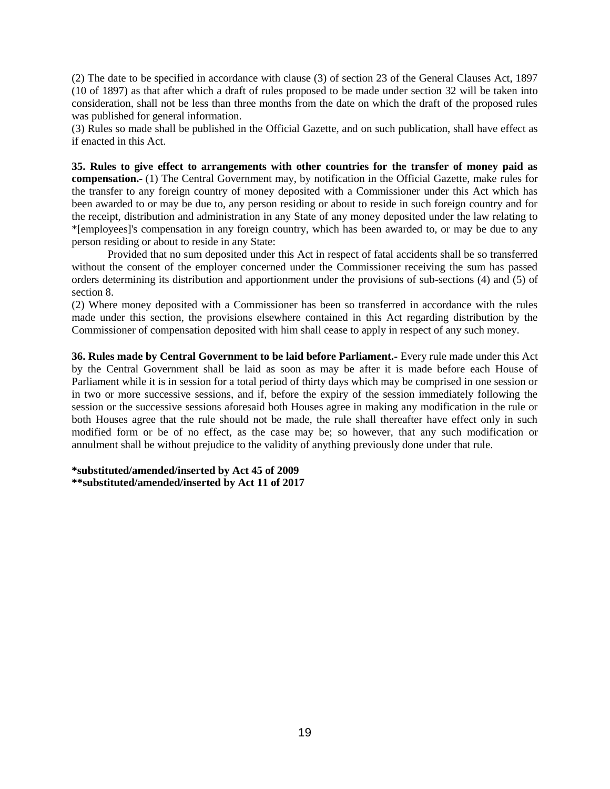(2) The date to be specified in accordance with clause (3) of section 23 of the General Clauses Act, 1897 (10 of 1897) as that after which a draft of rules proposed to be made under section 32 will be taken into consideration, shall not be less than three months from the date on which the draft of the proposed rules was published for general information.

(3) Rules so made shall be published in the Official Gazette, and on such publication, shall have effect as if enacted in this Act.

**35. Rules to give effect to arrangements with other countries for the transfer of money paid as compensation.-** (1) The Central Government may, by notification in the Official Gazette, make rules for the transfer to any foreign country of money deposited with a Commissioner under this Act which has been awarded to or may be due to, any person residing or about to reside in such foreign country and for the receipt, distribution and administration in any State of any money deposited under the law relating to \*[employees]'s compensation in any foreign country, which has been awarded to, or may be due to any person residing or about to reside in any State:

Provided that no sum deposited under this Act in respect of fatal accidents shall be so transferred without the consent of the employer concerned under the Commissioner receiving the sum has passed orders determining its distribution and apportionment under the provisions of sub-sections (4) and (5) of section 8.

(2) Where money deposited with a Commissioner has been so transferred in accordance with the rules made under this section, the provisions elsewhere contained in this Act regarding distribution by the Commissioner of compensation deposited with him shall cease to apply in respect of any such money.

**36. Rules made by Central Government to be laid before Parliament.-** Every rule made under this Act by the Central Government shall be laid as soon as may be after it is made before each House of Parliament while it is in session for a total period of thirty days which may be comprised in one session or in two or more successive sessions, and if, before the expiry of the session immediately following the session or the successive sessions aforesaid both Houses agree in making any modification in the rule or both Houses agree that the rule should not be made, the rule shall thereafter have effect only in such modified form or be of no effect, as the case may be; so however, that any such modification or annulment shall be without prejudice to the validity of anything previously done under that rule.

**\*substituted/amended/inserted by Act 45 of 2009 \*\*substituted/amended/inserted by Act 11 of 2017**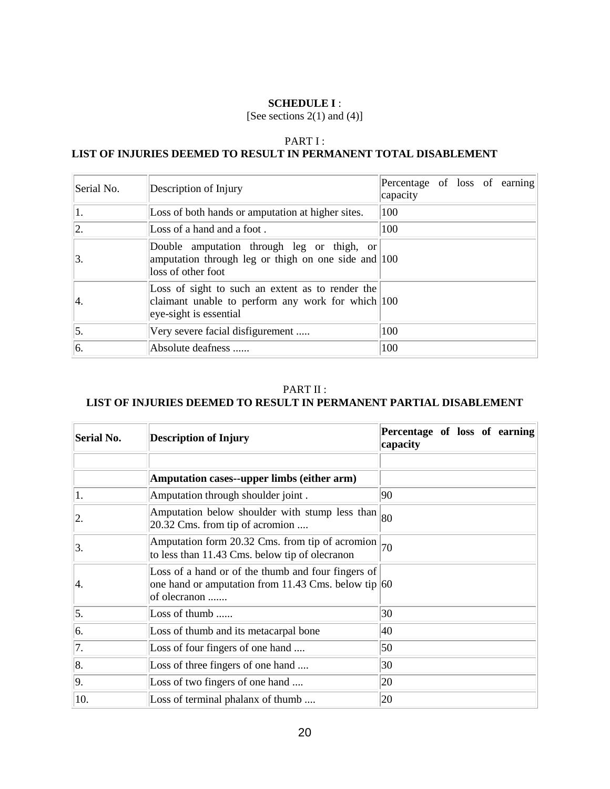#### **SCHEDULE I** :

[See sections 2(1) and (4)]

### PART I : **LIST OF INJURIES DEEMED TO RESULT IN PERMANENT TOTAL DISABLEMENT**

| Serial No. | Description of Injury                                                                                                                     | Percentage of loss of earning<br>capacity |
|------------|-------------------------------------------------------------------------------------------------------------------------------------------|-------------------------------------------|
| 1.         | Loss of both hands or amputation at higher sites.                                                                                         | 100                                       |
| 2.         | Loss of a hand and a foot.                                                                                                                | 100                                       |
| 3.         | Double amputation through leg or thigh, or<br>amputation through leg or thigh on one side and 100<br>loss of other foot                   |                                           |
| Ι4.        | Loss of sight to such an extent as to render the<br>claimant unable to perform any work for which $ 100\rangle$<br>eye-sight is essential |                                           |
| $\vert$ 5. | Very severe facial disfigurement                                                                                                          | 100                                       |
| 6.         | Absolute deafness                                                                                                                         | 100                                       |

# PART II : **LIST OF INJURIES DEEMED TO RESULT IN PERMANENT PARTIAL DISABLEMENT**

| Serial No. | <b>Description of Injury</b>                                                                                                        | Percentage of loss of earning<br>capacity |
|------------|-------------------------------------------------------------------------------------------------------------------------------------|-------------------------------------------|
|            |                                                                                                                                     |                                           |
|            | Amputation cases--upper limbs (either arm)                                                                                          |                                           |
| 1.         | Amputation through shoulder joint.                                                                                                  | 90                                        |
| 2.         | Amputation below shoulder with stump less than<br>20.32 Cms. from tip of acromion                                                   | 80                                        |
| 3.         | Amputation form 20.32 Cms. from tip of acromion<br>to less than 11.43 Cms. below tip of olecranon                                   | 70                                        |
| Ι4.        | Loss of a hand or of the thumb and four fingers of<br>one hand or amputation from 11.43 Cms. below tip $ 60\rangle$<br>of olecranon |                                           |
| 5.         | Loss of thumb                                                                                                                       | 30                                        |
| 6.         | Loss of thumb and its metacarpal bone                                                                                               | 40                                        |
| 7.         | Loss of four fingers of one hand                                                                                                    | 50                                        |
| 8.         | Loss of three fingers of one hand                                                                                                   | 30                                        |
| 9.         | Loss of two fingers of one hand                                                                                                     | 20                                        |
| 10.        | Loss of terminal phalanx of thumb                                                                                                   | 20                                        |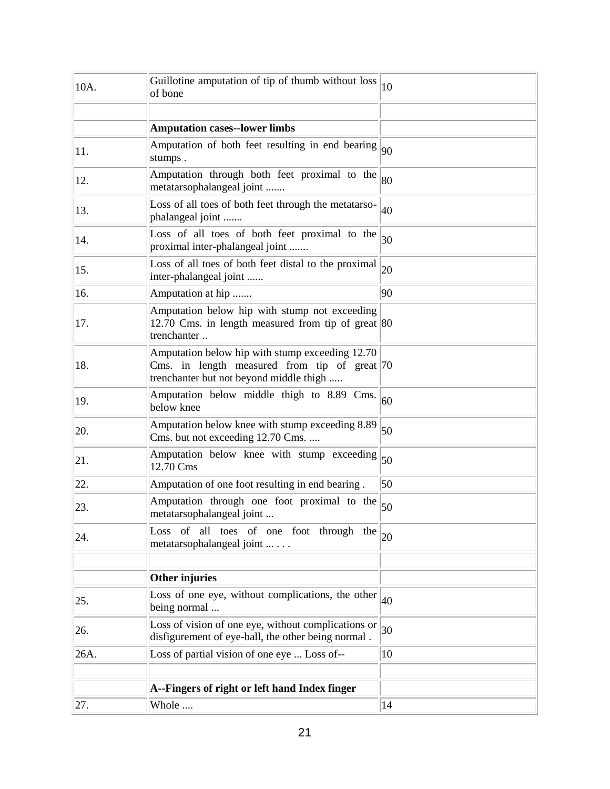| 10A. | Guillotine amputation of tip of thumb without loss<br>of bone                                                                                  | 10           |
|------|------------------------------------------------------------------------------------------------------------------------------------------------|--------------|
|      |                                                                                                                                                |              |
|      | <b>Amputation cases--lower limbs</b>                                                                                                           |              |
| 11.  | Amputation of both feet resulting in end bearing $ _{90}$<br>stumps.                                                                           |              |
| 12.  | Amputation through both feet proximal to the<br>metatarsophalangeal joint                                                                      | 80           |
| 13.  | Loss of all toes of both feet through the metatarso-<br>phalangeal joint                                                                       | 40           |
| 14.  | Loss of all toes of both feet proximal to the<br>proximal inter-phalangeal joint                                                               | 30           |
| 15.  | Loss of all toes of both feet distal to the proximal<br>inter-phalangeal joint                                                                 | 20           |
| 16.  | Amputation at hip                                                                                                                              | 90           |
| 17.  | Amputation below hip with stump not exceeding<br>12.70 Cms. in length measured from tip of great $ 80\rangle$<br>trenchanter                   |              |
| 18.  | Amputation below hip with stump exceeding 12.70<br>Cms. in length measured from tip of great $ 70 $<br>trenchanter but not beyond middle thigh |              |
| 19.  | Amputation below middle thigh to 8.89 Cms.<br>below knee                                                                                       | 60           |
| 20.  | Amputation below knee with stump exceeding 8.89<br>Cms. but not exceeding 12.70 Cms.                                                           | 50           |
| 21.  | Amputation below knee with stump exceeding<br>12.70 Cms                                                                                        | 50           |
| 22.  | Amputation of one foot resulting in end bearing.                                                                                               | 50           |
| 23.  | Amputation through one foot proximal to the<br>metatarsophalangeal joint                                                                       | 50           |
| 24.  | Loss of all toes of one foot through the<br>metatarsophalangeal joint                                                                          | $ 20\rangle$ |
|      | Other injuries                                                                                                                                 |              |
| 25.  | Loss of one eye, without complications, the other<br>being normal                                                                              | 40           |
| 26.  | Loss of vision of one eye, without complications or<br>disfigurement of eye-ball, the other being normal.                                      | 30           |
| 26A. | Loss of partial vision of one eye  Loss of--                                                                                                   | 10           |
|      |                                                                                                                                                |              |
|      | A--Fingers of right or left hand Index finger                                                                                                  |              |
| 27.  | Whole                                                                                                                                          | 14           |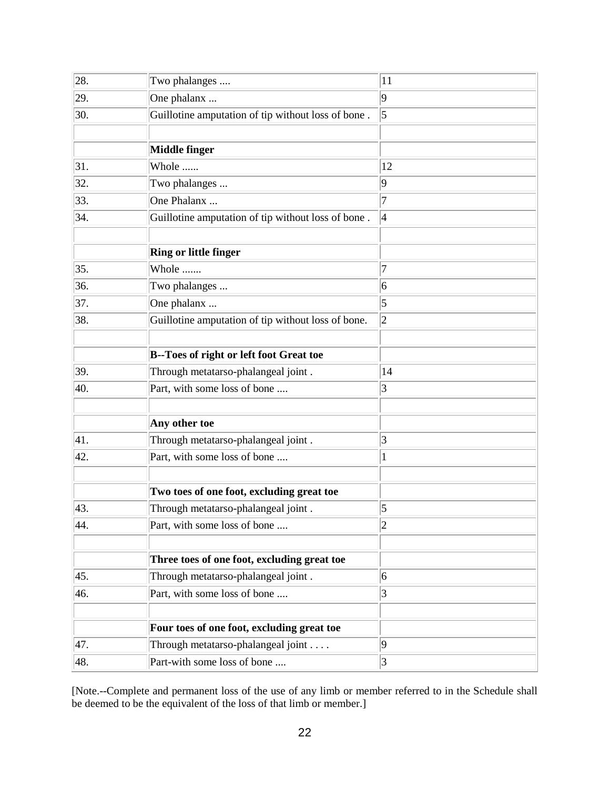| 28. | Two phalanges                                      | 11              |
|-----|----------------------------------------------------|-----------------|
| 29. | One phalanx                                        | $ 9\rangle$     |
| 30. | Guillotine amputation of tip without loss of bone. | $\vert 5 \vert$ |
|     |                                                    |                 |
|     | <b>Middle finger</b>                               |                 |
| 31. | Whole                                              | 12              |
| 32. | Two phalanges                                      | 9               |
| 33. | One Phalanx                                        | 7               |
| 34. | Guillotine amputation of tip without loss of bone. | $\vert 4$       |
|     |                                                    |                 |
|     | <b>Ring or little finger</b>                       |                 |
| 35. | Whole                                              | 7               |
| 36. | Two phalanges                                      | $\vert 6 \vert$ |
| 37. | One phalanx                                        | 5               |
| 38. | Guillotine amputation of tip without loss of bone. | $\overline{c}$  |
|     |                                                    |                 |
|     | <b>B--Toes of right or left foot Great toe</b>     |                 |
| 39. | Through metatarso-phalangeal joint.                | 14              |
| 40. | Part, with some loss of bone                       | 3               |
|     |                                                    |                 |
|     | Any other toe                                      |                 |
| 41. | Through metatarso-phalangeal joint.                | 3               |
| 42. | Part, with some loss of bone                       | 1               |
|     |                                                    |                 |
|     | Two toes of one foot, excluding great toe          |                 |
| 43. | Through metatarso-phalangeal joint.                | 5               |
| 44. | Part, with some loss of bone                       | $\overline{c}$  |
|     |                                                    |                 |
|     | Three toes of one foot, excluding great toe        |                 |
| 45. | Through metatarso-phalangeal joint.                | 6               |
| 46. | Part, with some loss of bone                       | 3               |
|     |                                                    |                 |
|     | Four toes of one foot, excluding great toe         |                 |
| 47. | Through metatarso-phalangeal joint                 | $ 9\rangle$     |
| 48. | Part-with some loss of bone                        | 3               |

[Note.--Complete and permanent loss of the use of any limb or member referred to in the Schedule shall be deemed to be the equivalent of the loss of that limb or member.]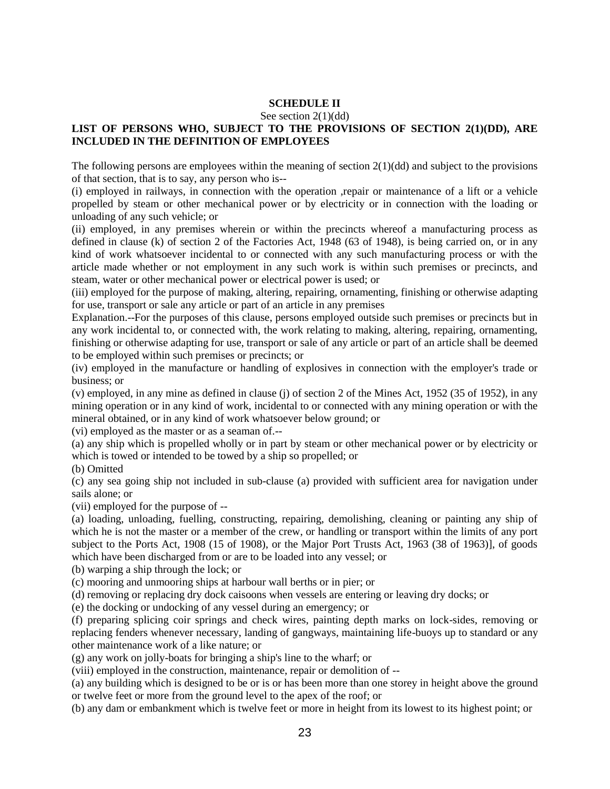### **SCHEDULE II**

#### See section 2(1)(dd)

### **LIST OF PERSONS WHO, SUBJECT TO THE PROVISIONS OF SECTION 2(1)(DD), ARE INCLUDED IN THE DEFINITION OF EMPLOYEES**

The following persons are employees within the meaning of section  $2(1)(dd)$  and subject to the provisions of that section, that is to say, any person who is--

(i) employed in railways, in connection with the operation ,repair or maintenance of a lift or a vehicle propelled by steam or other mechanical power or by electricity or in connection with the loading or unloading of any such vehicle; or

(ii) employed, in any premises wherein or within the precincts whereof a manufacturing process as defined in clause (k) of section 2 of the Factories Act, 1948 (63 of 1948), is being carried on, or in any kind of work whatsoever incidental to or connected with any such manufacturing process or with the article made whether or not employment in any such work is within such premises or precincts, and steam, water or other mechanical power or electrical power is used; or

(iii) employed for the purpose of making, altering, repairing, ornamenting, finishing or otherwise adapting for use, transport or sale any article or part of an article in any premises

Explanation.--For the purposes of this clause, persons employed outside such premises or precincts but in any work incidental to, or connected with, the work relating to making, altering, repairing, ornamenting, finishing or otherwise adapting for use, transport or sale of any article or part of an article shall be deemed to be employed within such premises or precincts; or

(iv) employed in the manufacture or handling of explosives in connection with the employer's trade or business; or

(v) employed, in any mine as defined in clause (j) of section 2 of the Mines Act, 1952 (35 of 1952), in any mining operation or in any kind of work, incidental to or connected with any mining operation or with the mineral obtained, or in any kind of work whatsoever below ground; or

(vi) employed as the master or as a seaman of.--

(a) any ship which is propelled wholly or in part by steam or other mechanical power or by electricity or which is towed or intended to be towed by a ship so propelled; or

(b) Omitted

(c) any sea going ship not included in sub-clause (a) provided with sufficient area for navigation under sails alone; or

(vii) employed for the purpose of --

(a) loading, unloading, fuelling, constructing, repairing, demolishing, cleaning or painting any ship of which he is not the master or a member of the crew, or handling or transport within the limits of any port subject to the Ports Act, 1908 (15 of 1908), or the Major Port Trusts Act, 1963 (38 of 1963)], of goods which have been discharged from or are to be loaded into any vessel; or

(b) warping a ship through the lock; or

(c) mooring and unmooring ships at harbour wall berths or in pier; or

(d) removing or replacing dry dock caisoons when vessels are entering or leaving dry docks; or

(e) the docking or undocking of any vessel during an emergency; or

(f) preparing splicing coir springs and check wires, painting depth marks on lock-sides, removing or replacing fenders whenever necessary, landing of gangways, maintaining life-buoys up to standard or any other maintenance work of a like nature; or

(g) any work on jolly-boats for bringing a ship's line to the wharf; or

(viii) employed in the construction, maintenance, repair or demolition of --

(a) any building which is designed to be or is or has been more than one storey in height above the ground or twelve feet or more from the ground level to the apex of the roof; or

(b) any dam or embankment which is twelve feet or more in height from its lowest to its highest point; or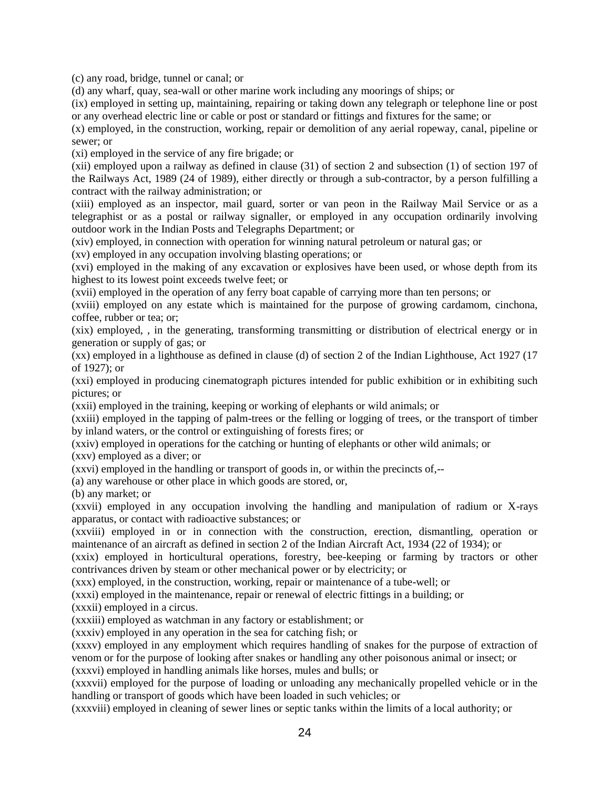(c) any road, bridge, tunnel or canal; or

(d) any wharf, quay, sea-wall or other marine work including any moorings of ships; or

(ix) employed in setting up, maintaining, repairing or taking down any telegraph or telephone line or post or any overhead electric line or cable or post or standard or fittings and fixtures for the same; or

(x) employed, in the construction, working, repair or demolition of any aerial ropeway, canal, pipeline or sewer; or

(xi) employed in the service of any fire brigade; or

(xii) employed upon a railway as defined in clause (31) of section 2 and subsection (1) of section 197 of the Railways Act, 1989 (24 of 1989), either directly or through a sub-contractor, by a person fulfilling a contract with the railway administration; or

(xiii) employed as an inspector, mail guard, sorter or van peon in the Railway Mail Service or as a telegraphist or as a postal or railway signaller, or employed in any occupation ordinarily involving outdoor work in the Indian Posts and Telegraphs Department; or

(xiv) employed, in connection with operation for winning natural petroleum or natural gas; or

(xv) employed in any occupation involving blasting operations; or

(xvi) employed in the making of any excavation or explosives have been used, or whose depth from its highest to its lowest point exceeds twelve feet; or

(xvii) employed in the operation of any ferry boat capable of carrying more than ten persons; or

(xviii) employed on any estate which is maintained for the purpose of growing cardamom, cinchona, coffee, rubber or tea; or;

(xix) employed, , in the generating, transforming transmitting or distribution of electrical energy or in generation or supply of gas; or

(xx) employed in a lighthouse as defined in clause (d) of section 2 of the Indian Lighthouse, Act 1927 (17 of 1927); or

(xxi) employed in producing cinematograph pictures intended for public exhibition or in exhibiting such pictures; or

(xxii) employed in the training, keeping or working of elephants or wild animals; or

(xxiii) employed in the tapping of palm-trees or the felling or logging of trees, or the transport of timber by inland waters, or the control or extinguishing of forests fires; or

(xxiv) employed in operations for the catching or hunting of elephants or other wild animals; or

(xxv) employed as a diver; or

(xxvi) employed in the handling or transport of goods in, or within the precincts of,--

(a) any warehouse or other place in which goods are stored, or,

(b) any market; or

(xxvii) employed in any occupation involving the handling and manipulation of radium or X-rays apparatus, or contact with radioactive substances; or

(xxviii) employed in or in connection with the construction, erection, dismantling, operation or maintenance of an aircraft as defined in section 2 of the Indian Aircraft Act, 1934 (22 of 1934); or

(xxix) employed in horticultural operations, forestry, bee-keeping or farming by tractors or other contrivances driven by steam or other mechanical power or by electricity; or

(xxx) employed, in the construction, working, repair or maintenance of a tube-well; or

(xxxi) employed in the maintenance, repair or renewal of electric fittings in a building; or

(xxxii) employed in a circus.

(xxxiii) employed as watchman in any factory or establishment; or

(xxxiv) employed in any operation in the sea for catching fish; or

(xxxv) employed in any employment which requires handling of snakes for the purpose of extraction of venom or for the purpose of looking after snakes or handling any other poisonous animal or insect; or

(xxxvi) employed in handling animals like horses, mules and bulls; or

(xxxvii) employed for the purpose of loading or unloading any mechanically propelled vehicle or in the handling or transport of goods which have been loaded in such vehicles; or

(xxxviii) employed in cleaning of sewer lines or septic tanks within the limits of a local authority; or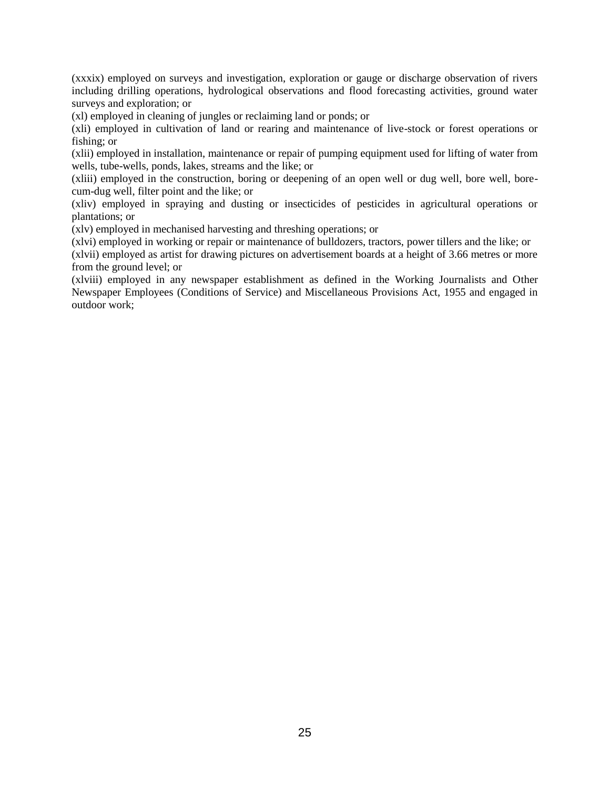(xxxix) employed on surveys and investigation, exploration or gauge or discharge observation of rivers including drilling operations, hydrological observations and flood forecasting activities, ground water surveys and exploration; or

(xl) employed in cleaning of jungles or reclaiming land or ponds; or

(xli) employed in cultivation of land or rearing and maintenance of live-stock or forest operations or fishing; or

(xlii) employed in installation, maintenance or repair of pumping equipment used for lifting of water from wells, tube-wells, ponds, lakes, streams and the like; or

(xliii) employed in the construction, boring or deepening of an open well or dug well, bore well, borecum-dug well, filter point and the like; or

(xliv) employed in spraying and dusting or insecticides of pesticides in agricultural operations or plantations; or

(xlv) employed in mechanised harvesting and threshing operations; or

(xlvi) employed in working or repair or maintenance of bulldozers, tractors, power tillers and the like; or

(xlvii) employed as artist for drawing pictures on advertisement boards at a height of 3.66 metres or more from the ground level; or

(xlviii) employed in any newspaper establishment as defined in the Working Journalists and Other Newspaper Employees (Conditions of Service) and Miscellaneous Provisions Act, 1955 and engaged in outdoor work;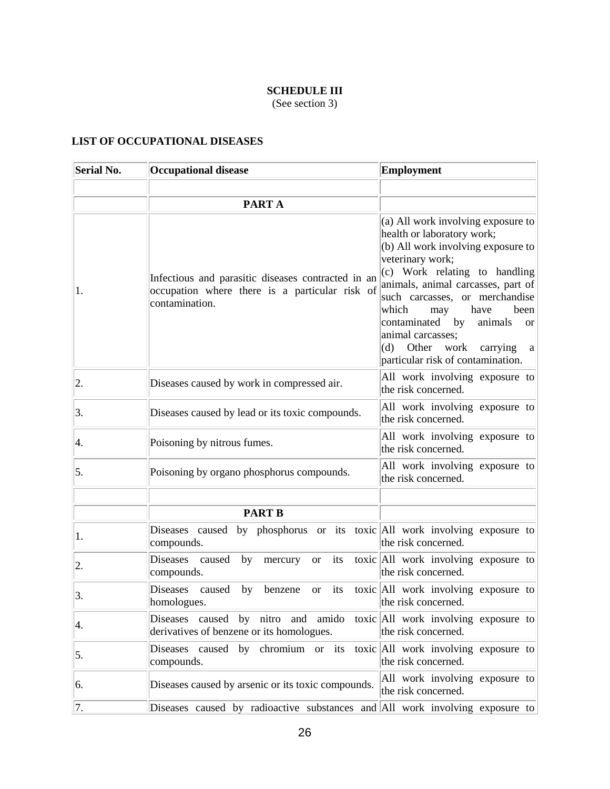# **SCHEDULE III**

(See section 3)

## **LIST OF OCCUPATIONAL DISEASES**

| <b>Serial No.</b> | <b>Occupational disease</b>                                                                                            | Employment                                                                                                                                                                                                                                                                                                                                                                                                                 |
|-------------------|------------------------------------------------------------------------------------------------------------------------|----------------------------------------------------------------------------------------------------------------------------------------------------------------------------------------------------------------------------------------------------------------------------------------------------------------------------------------------------------------------------------------------------------------------------|
|                   |                                                                                                                        |                                                                                                                                                                                                                                                                                                                                                                                                                            |
|                   | PART A                                                                                                                 |                                                                                                                                                                                                                                                                                                                                                                                                                            |
| 1.                | Infectious and parasitic diseases contracted in an<br>occupation where there is a particular risk of<br>contamination. | (a) All work involving exposure to<br>health or laboratory work;<br>$(b)$ All work involving exposure to<br>veterinary work;<br>(c) Work relating to handling<br>animals, animal carcasses, part of<br>such carcasses, or merchandise<br>which<br>have<br>been<br>may<br>animals<br>contaminated<br>by<br><sub>or</sub><br>animal carcasses;<br>Other<br>work<br>(d)<br>carrying<br>a<br>particular risk of contamination. |
| 2.                | Diseases caused by work in compressed air.                                                                             | All work involving exposure to<br>the risk concerned.                                                                                                                                                                                                                                                                                                                                                                      |
| 3.                | Diseases caused by lead or its toxic compounds.                                                                        | All work involving exposure to<br>the risk concerned.                                                                                                                                                                                                                                                                                                                                                                      |
| 4.                | Poisoning by nitrous fumes.                                                                                            | All work involving exposure to<br>the risk concerned.                                                                                                                                                                                                                                                                                                                                                                      |
| 5.                | Poisoning by organo phosphorus compounds.                                                                              | All work involving exposure to<br>the risk concerned.                                                                                                                                                                                                                                                                                                                                                                      |
|                   |                                                                                                                        |                                                                                                                                                                                                                                                                                                                                                                                                                            |
|                   | <b>PART B</b>                                                                                                          |                                                                                                                                                                                                                                                                                                                                                                                                                            |
| 1.                | Diseases caused by phosphorus or its toxic All work involving exposure to<br>compounds.                                | the risk concerned.                                                                                                                                                                                                                                                                                                                                                                                                        |
| 2.                | <b>Diseases</b><br>its<br>caused<br>by<br>mercury<br><b>or</b><br>compounds.                                           | toxic All work involving exposure to<br>the risk concerned.                                                                                                                                                                                                                                                                                                                                                                |
| 3.                | <b>Diseases</b><br>caused<br>its<br>by<br>benzene<br><b>or</b><br>homologues.                                          | toxic All work involving exposure to<br>the risk concerned.                                                                                                                                                                                                                                                                                                                                                                |
| 4.                | Diseases caused by nitro and amido toxic All work involving exposure to<br>derivatives of benzene or its homologues.   | the risk concerned.                                                                                                                                                                                                                                                                                                                                                                                                        |
| 5.                | Diseases caused by chromium or its toxic All work involving exposure to<br>compounds.                                  | the risk concerned.                                                                                                                                                                                                                                                                                                                                                                                                        |
| 6.                | Diseases caused by arsenic or its toxic compounds.                                                                     | All work involving exposure to<br>the risk concerned.                                                                                                                                                                                                                                                                                                                                                                      |
| 7.                | Diseases caused by radioactive substances and All work involving exposure to                                           |                                                                                                                                                                                                                                                                                                                                                                                                                            |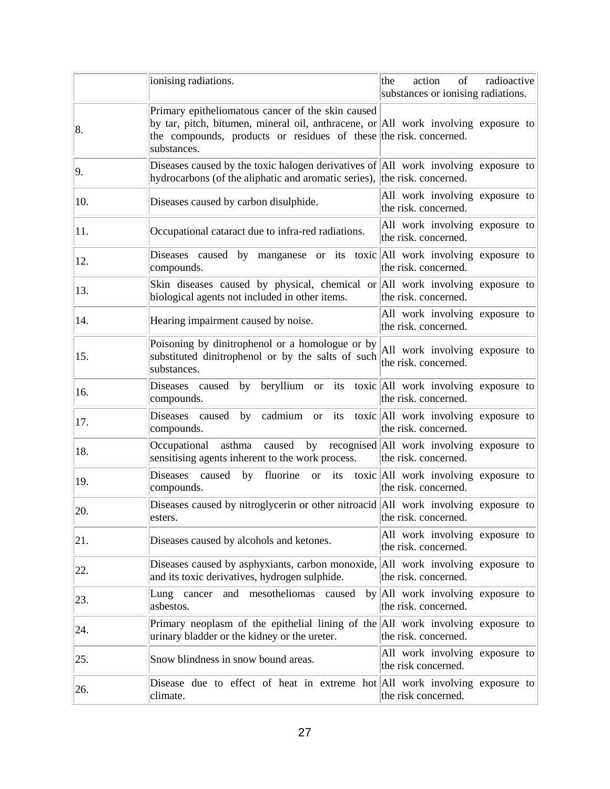|     | ionising radiations.                                                                                                                                                                                                       | the<br>action<br>of<br>radioactive<br>substances or ionising radiations.     |
|-----|----------------------------------------------------------------------------------------------------------------------------------------------------------------------------------------------------------------------------|------------------------------------------------------------------------------|
| 8.  | Primary epitheliomatous cancer of the skin caused<br>by tar, pitch, bitumen, mineral oil, anthracene, or All work involving exposure to<br>the compounds, products or residues of these the risk concerned.<br>substances. |                                                                              |
| 9.  | Diseases caused by the toxic halogen derivatives of $ AII $ work involving exposure to<br>hydrocarbons (of the aliphatic and aromatic series), the risk. concerned.                                                        |                                                                              |
| 10. | Diseases caused by carbon disulphide.                                                                                                                                                                                      | All work involving exposure to<br>the risk. concerned.                       |
| 11. | Occupational cataract due to infra-red radiations.                                                                                                                                                                         | All work involving exposure to<br>the risk. concerned.                       |
| 12. | Diseases caused by manganese or its toxic All work involving exposure to<br>compounds.                                                                                                                                     | the risk. concerned.                                                         |
| 13. | Skin diseases caused by physical, chemical or All work involving exposure to<br>biological agents not included in other items.                                                                                             | the risk. concerned.                                                         |
| 14. | Hearing impairment caused by noise.                                                                                                                                                                                        | All work involving exposure to<br>the risk. concerned.                       |
| 15. | Poisoning by dinitrophenol or a homologue or by<br>substituted dinitrophenol or by the salts of such<br>substances.                                                                                                        | All work involving exposure to<br>the risk. concerned.                       |
| 16. | Diseases caused by beryllium or its toxic All work involving exposure to<br>compounds.                                                                                                                                     | the risk. concerned.                                                         |
| 17. | Diseases caused by cadmium or its toxic All work involving exposure to<br>compounds.                                                                                                                                       | the risk. concerned.                                                         |
| 18. | asthma<br>Occupational<br>sensitising agents inherent to the work process.                                                                                                                                                 | caused by recognised All work involving exposure to<br>the risk. concerned.  |
| 19. | Diseases<br>caused<br>by<br>compounds.                                                                                                                                                                                     | fluorine or its toxic All work involving exposure to<br>the risk. concerned. |
| 20. | Diseases caused by nitroglycerin or other nitroacid All work involving exposure to<br>esters.                                                                                                                              | the risk. concerned.                                                         |
| 21. | Diseases caused by alcohols and ketones.                                                                                                                                                                                   | All work involving exposure to<br>the risk. concerned.                       |
| 22. | Diseases caused by asphyxiants, carbon monoxide, All work involving exposure to<br>and its toxic derivatives, hydrogen sulphide.                                                                                           | the risk. concerned.                                                         |
| 23. | mesotheliomas<br>Lung cancer<br>and<br>caused<br>asbestos.                                                                                                                                                                 | by All work involving exposure to<br>the risk. concerned.                    |
| 24. | Primary neoplasm of the epithelial lining of the All work involving exposure to<br>urinary bladder or the kidney or the ureter.                                                                                            | the risk. concerned.                                                         |
| 25. | Snow blindness in snow bound areas.                                                                                                                                                                                        | All work involving exposure to<br>the risk concerned.                        |
| 26. | Disease due to effect of heat in extreme hot All work involving exposure to<br>climate.                                                                                                                                    | the risk concerned.                                                          |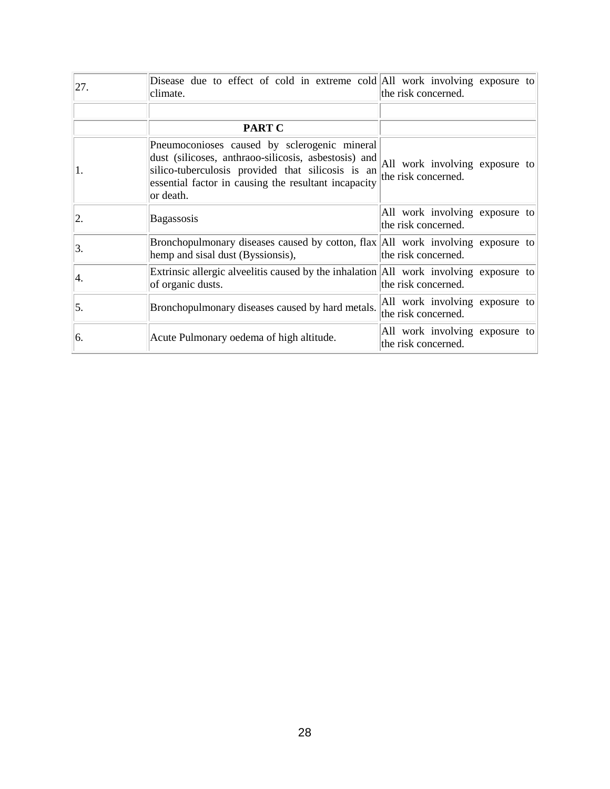| 27. | Disease due to effect of cold in extreme cold All work involving exposure to<br>climate.                                                                                                                                       | the risk concerned.                                   |
|-----|--------------------------------------------------------------------------------------------------------------------------------------------------------------------------------------------------------------------------------|-------------------------------------------------------|
|     |                                                                                                                                                                                                                                |                                                       |
|     | PART C                                                                                                                                                                                                                         |                                                       |
| 1.  | Pneumoconioses caused by sclerogenic mineral<br>dust (silicoses, anthraoo-silicosis, asbestosis) and<br>silico-tuberculosis provided that silicosis is an<br>essential factor in causing the resultant incapacity<br>or death. | All work involving exposure to<br>the risk concerned. |
| 2.  | Bagassosis                                                                                                                                                                                                                     | All work involving exposure to<br>the risk concerned. |
| 3.  | Bronchopulmonary diseases caused by cotton, flax All work involving exposure to<br>hemp and sisal dust (Byssionsis),                                                                                                           | the risk concerned.                                   |
| Ι4. | Extrinsic allergic alveelitis caused by the inhalation All work involving exposure to<br>of organic dusts.                                                                                                                     | the risk concerned.                                   |
| 5.  | Bronchopulmonary diseases caused by hard metals.                                                                                                                                                                               | All work involving exposure to<br>the risk concerned. |
| 6.  | Acute Pulmonary oedema of high altitude.                                                                                                                                                                                       | All work involving exposure to<br>the risk concerned. |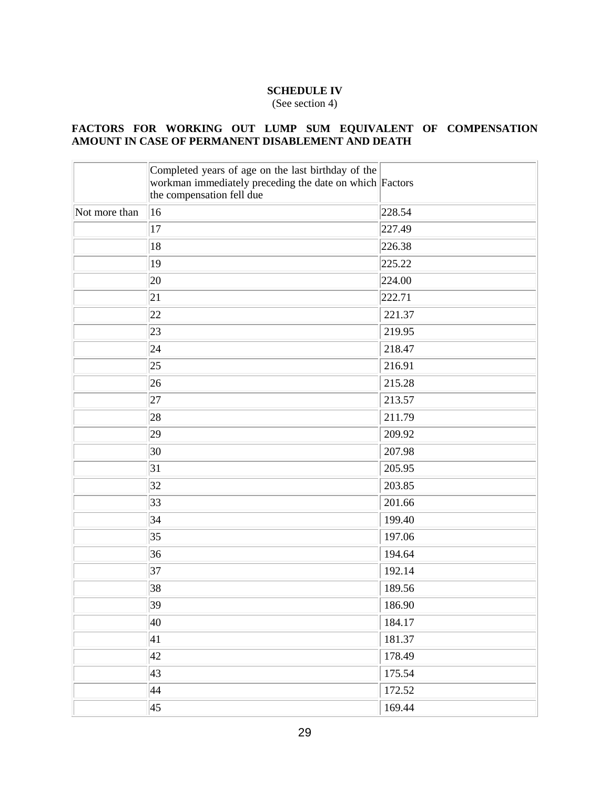### **SCHEDULE IV**

(See section 4)

#### **FACTORS FOR WORKING OUT LUMP SUM EQUIVALENT OF COMPENSATION AMOUNT IN CASE OF PERMANENT DISABLEMENT AND DEATH**

|               | Completed years of age on the last birthday of the<br>workman immediately preceding the date on which Factors<br>the compensation fell due |        |
|---------------|--------------------------------------------------------------------------------------------------------------------------------------------|--------|
| Not more than | 16                                                                                                                                         | 228.54 |
|               | 17                                                                                                                                         | 227.49 |
|               | 18                                                                                                                                         | 226.38 |
|               | 19                                                                                                                                         | 225.22 |
|               | 20                                                                                                                                         | 224.00 |
|               | 21                                                                                                                                         | 222.71 |
|               | 22                                                                                                                                         | 221.37 |
|               | 23                                                                                                                                         | 219.95 |
|               | 24                                                                                                                                         | 218.47 |
|               | 25                                                                                                                                         | 216.91 |
|               | 26                                                                                                                                         | 215.28 |
|               | 27                                                                                                                                         | 213.57 |
|               | 28                                                                                                                                         | 211.79 |
|               | 29                                                                                                                                         | 209.92 |
|               | 30                                                                                                                                         | 207.98 |
|               | 31                                                                                                                                         | 205.95 |
|               | 32                                                                                                                                         | 203.85 |
|               | 33                                                                                                                                         | 201.66 |
|               | 34                                                                                                                                         | 199.40 |
|               | 35                                                                                                                                         | 197.06 |
|               | 36                                                                                                                                         | 194.64 |
|               | 37                                                                                                                                         | 192.14 |
|               | 38                                                                                                                                         | 189.56 |
|               | $ 39\rangle$                                                                                                                               | 186.90 |
|               | 40                                                                                                                                         | 184.17 |
|               | 41                                                                                                                                         | 181.37 |
|               | 42                                                                                                                                         | 178.49 |
|               | 43                                                                                                                                         | 175.54 |
|               | 44                                                                                                                                         | 172.52 |
|               | 45                                                                                                                                         | 169.44 |